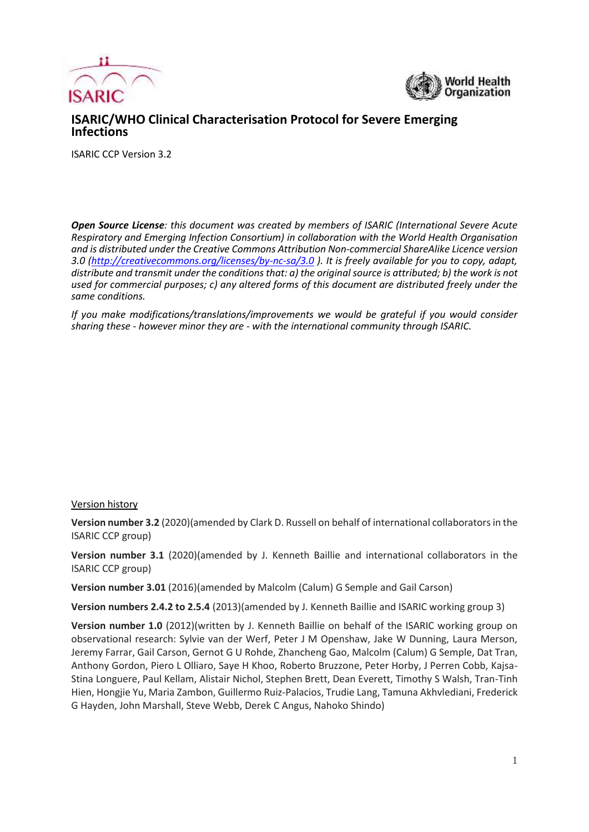



## **ISARIC/WHO Clinical Characterisation Protocol for Severe Emerging Infections**

ISARIC CCP Version 3.2

*Open Source License: this document was created by members of ISARIC (International Severe Acute Respiratory and Emerging Infection Consortium) in collaboration with the World Health Organisation and is distributed under the Creative Commons Attribution Non-commercial ShareAlike Licence version 3.0 [\(http://creativecommons.org/licenses/by-nc-sa/3.0](http://creativecommons.org/licenses/by-nc-sa/3.0) ). It is freely available for you to copy, adapt, distribute and transmit under the conditions that: a) the original source is attributed; b) the work is not used for commercial purposes; c) any altered forms of this document are distributed freely under the same conditions.*

*If you make modifications/translations/improvements we would be grateful if you would consider sharing these - however minor they are - with the international community through ISARIC.*

#### Version history

**Version number 3.2** (2020)(amended by Clark D. Russell on behalf of international collaborators in the ISARIC CCP group)

**Version number 3.1** (2020)(amended by J. Kenneth Baillie and international collaborators in the ISARIC CCP group)

**Version number 3.01** (2016)(amended by Malcolm (Calum) G Semple and Gail Carson)

**Version numbers 2.4.2 to 2.5.4** (2013)(amended by J. Kenneth Baillie and ISARIC working group 3)

**Version number 1.0** (2012)(written by J. Kenneth Baillie on behalf of the ISARIC working group on observational research: Sylvie van der Werf, Peter J M Openshaw, Jake W Dunning, Laura Merson, Jeremy Farrar, Gail Carson, Gernot G U Rohde, Zhancheng Gao, Malcolm (Calum) G Semple, Dat Tran, Anthony Gordon, Piero L Olliaro, Saye H Khoo, Roberto Bruzzone, Peter Horby, J Perren Cobb, Kajsa-Stina Longuere, Paul Kellam, Alistair Nichol, Stephen Brett, Dean Everett, Timothy S Walsh, Tran-Tinh Hien, Hongjie Yu, Maria Zambon, Guillermo Ruiz-Palacios, Trudie Lang, Tamuna Akhvlediani, Frederick G Hayden, John Marshall, Steve Webb, Derek C Angus, Nahoko Shindo)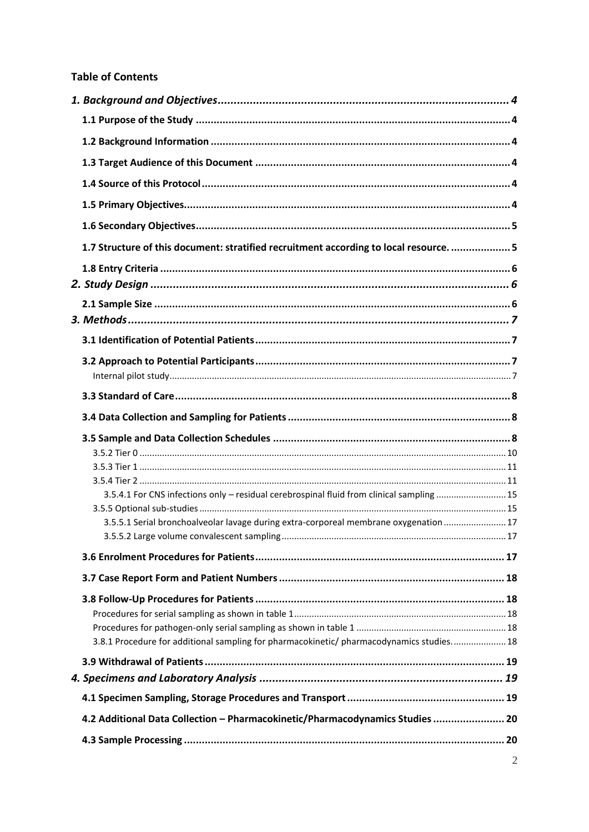#### **Table of Contents**

| 1.7 Structure of this document: stratified recruitment according to local resource.  5    |  |
|-------------------------------------------------------------------------------------------|--|
|                                                                                           |  |
|                                                                                           |  |
|                                                                                           |  |
|                                                                                           |  |
|                                                                                           |  |
|                                                                                           |  |
|                                                                                           |  |
|                                                                                           |  |
|                                                                                           |  |
|                                                                                           |  |
|                                                                                           |  |
|                                                                                           |  |
|                                                                                           |  |
|                                                                                           |  |
| 3.5.4.1 For CNS infections only - residual cerebrospinal fluid from clinical sampling  15 |  |
|                                                                                           |  |
| 3.5.5.1 Serial bronchoalveolar lavage during extra-corporeal membrane oxygenation 17      |  |
|                                                                                           |  |
|                                                                                           |  |
|                                                                                           |  |
|                                                                                           |  |
|                                                                                           |  |
| 3.8.1 Procedure for additional sampling for pharmacokinetic/ pharmacodynamics studies 18  |  |
|                                                                                           |  |
|                                                                                           |  |
|                                                                                           |  |
| 4.2 Additional Data Collection - Pharmacokinetic/Pharmacodynamics Studies  20             |  |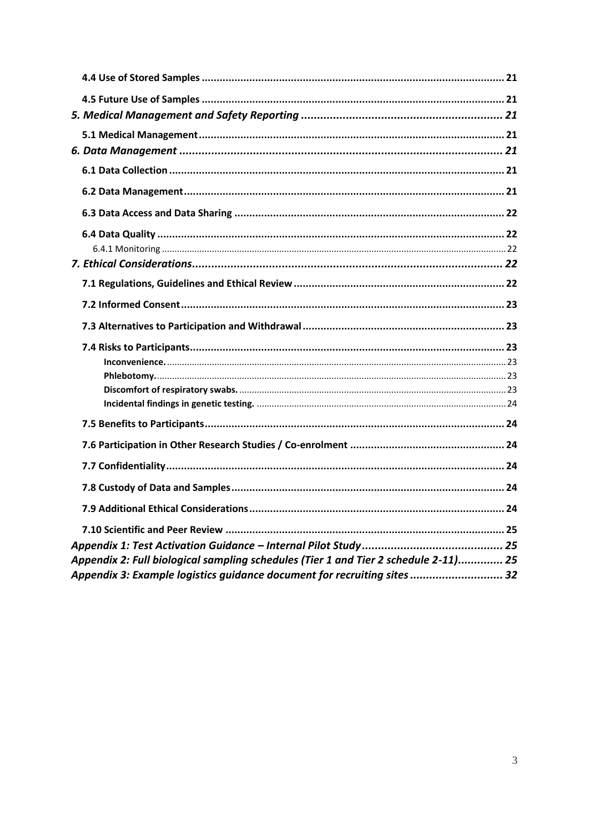| Appendix 2: Full biological sampling schedules (Tier 1 and Tier 2 schedule 2-11) 25 |  |
|-------------------------------------------------------------------------------------|--|
| Appendix 3: Example logistics guidance document for recruiting sites  32            |  |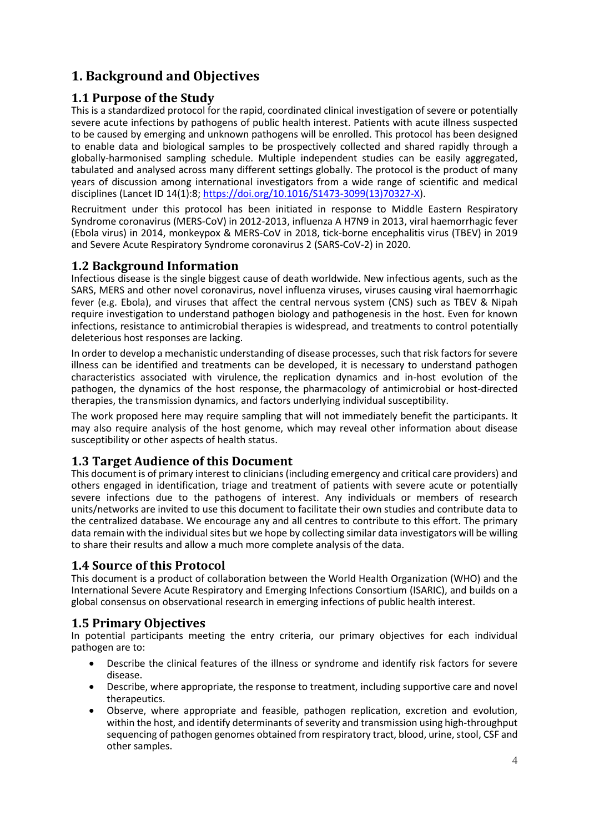# <span id="page-3-0"></span>**1. Background and Objectives**

# <span id="page-3-1"></span>**1.1 Purpose of the Study**

This is a standardized protocol for the rapid, coordinated clinical investigation of severe or potentially severe acute infections by pathogens of public health interest. Patients with acute illness suspected to be caused by emerging and unknown pathogens will be enrolled. This protocol has been designed to enable data and biological samples to be prospectively collected and shared rapidly through a globally-harmonised sampling schedule. Multiple independent studies can be easily aggregated, tabulated and analysed across many different settings globally. The protocol is the product of many years of discussion among international investigators from a wide range of scientific and medical disciplines (Lancet ID 14(1):8; [https://doi.org/10.1016/S1473-3099\(13\)70327-X\)](https://doi.org/10.1016/S1473-3099(13)70327-X).

Recruitment under this protocol has been initiated in response to Middle Eastern Respiratory Syndrome coronavirus (MERS-CoV) in 2012-2013, influenza A H7N9 in 2013, viral haemorrhagic fever (Ebola virus) in 2014, monkeypox & MERS-CoV in 2018, tick-borne encephalitis virus (TBEV) in 2019 and Severe Acute Respiratory Syndrome coronavirus 2 (SARS-CoV-2) in 2020.

# <span id="page-3-2"></span>**1.2 Background Information**

Infectious disease is the single biggest cause of death worldwide. New infectious agents, such as the SARS, MERS and other novel coronavirus, novel influenza viruses, viruses causing viral haemorrhagic fever (e.g. Ebola), and viruses that affect the central nervous system (CNS) such as TBEV & Nipah require investigation to understand pathogen biology and pathogenesis in the host. Even for known infections, resistance to antimicrobial therapies is widespread, and treatments to control potentially deleterious host responses are lacking.

In order to develop a mechanistic understanding of disease processes, such that risk factors for severe illness can be identified and treatments can be developed, it is necessary to understand pathogen characteristics associated with virulence, the replication dynamics and in-host evolution of the pathogen, the dynamics of the host response, the pharmacology of antimicrobial or host-directed therapies, the transmission dynamics, and factors underlying individual susceptibility.

The work proposed here may require sampling that will not immediately benefit the participants. It may also require analysis of the host genome, which may reveal other information about disease susceptibility or other aspects of health status.

# <span id="page-3-3"></span>**1.3 Target Audience of this Document**

This document is of primary interest to clinicians (including emergency and critical care providers) and others engaged in identification, triage and treatment of patients with severe acute or potentially severe infections due to the pathogens of interest. Any individuals or members of research units/networks are invited to use this document to facilitate their own studies and contribute data to the centralized database. We encourage any and all centres to contribute to this effort. The primary data remain with the individual sites but we hope by collecting similar data investigators will be willing to share their results and allow a much more complete analysis of the data.

# <span id="page-3-4"></span>**1.4 Source of this Protocol**

This document is a product of collaboration between the World Health Organization (WHO) and the International Severe Acute Respiratory and Emerging Infections Consortium (ISARIC), and builds on a global consensus on observational research in emerging infections of public health interest.

# <span id="page-3-5"></span>**1.5 Primary Objectives**

In potential participants meeting the entry criteria, our primary objectives for each individual pathogen are to:

- Describe the clinical features of the illness or syndrome and identify risk factors for severe disease.
- Describe, where appropriate, the response to treatment, including supportive care and novel therapeutics.
- Observe, where appropriate and feasible, pathogen replication, excretion and evolution, within the host, and identify determinants of severity and transmission using high-throughput sequencing of pathogen genomes obtained from respiratory tract, blood, urine, stool, CSF and other samples.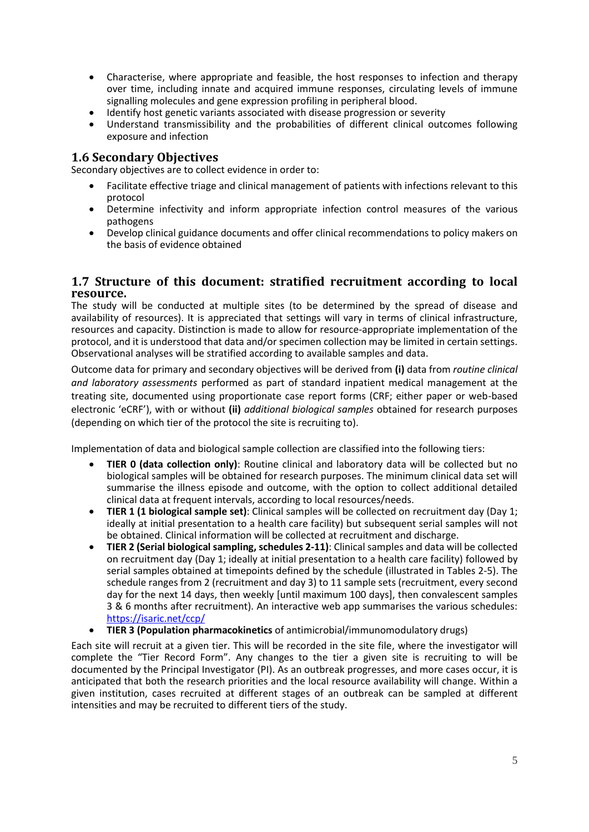- Characterise, where appropriate and feasible, the host responses to infection and therapy over time, including innate and acquired immune responses, circulating levels of immune signalling molecules and gene expression profiling in peripheral blood.
- Identify host genetic variants associated with disease progression or severity
- Understand transmissibility and the probabilities of different clinical outcomes following exposure and infection

#### <span id="page-4-0"></span>**1.6 Secondary Objectives**

Secondary objectives are to collect evidence in order to:

- Facilitate effective triage and clinical management of patients with infections relevant to this protocol
- Determine infectivity and inform appropriate infection control measures of the various pathogens
- Develop clinical guidance documents and offer clinical recommendations to policy makers on the basis of evidence obtained

#### <span id="page-4-1"></span>**1.7 Structure of this document: stratified recruitment according to local resource.**

The study will be conducted at multiple sites (to be determined by the spread of disease and availability of resources). It is appreciated that settings will vary in terms of clinical infrastructure, resources and capacity. Distinction is made to allow for resource-appropriate implementation of the protocol, and it is understood that data and/or specimen collection may be limited in certain settings. Observational analyses will be stratified according to available samples and data.

Outcome data for primary and secondary objectives will be derived from **(i)** data from *routine clinical and laboratory assessments* performed as part of standard inpatient medical management at the treating site, documented using proportionate case report forms (CRF; either paper or web-based electronic 'eCRF'), with or without **(ii)** *additional biological samples* obtained for research purposes (depending on which tier of the protocol the site is recruiting to).

Implementation of data and biological sample collection are classified into the following tiers:

- **TIER 0 (data collection only)**: Routine clinical and laboratory data will be collected but no biological samples will be obtained for research purposes. The minimum clinical data set will summarise the illness episode and outcome, with the option to collect additional detailed clinical data at frequent intervals, according to local resources/needs.
- **TIER 1 (1 biological sample set)**: Clinical samples will be collected on recruitment day (Day 1; ideally at initial presentation to a health care facility) but subsequent serial samples will not be obtained. Clinical information will be collected at recruitment and discharge.
- **TIER 2 (Serial biological sampling, schedules 2-11)**: Clinical samples and data will be collected on recruitment day (Day 1; ideally at initial presentation to a health care facility) followed by serial samples obtained at timepoints defined by the schedule (illustrated in Tables 2-5). The schedule ranges from 2 (recruitment and day 3) to 11 sample sets (recruitment, every second day for the next 14 days, then weekly [until maximum 100 days], then convalescent samples 3 & 6 months after recruitment). An interactive web app summarises the various schedules: <https://isaric.net/ccp/>
- **TIER 3 (Population pharmacokinetics** of antimicrobial/immunomodulatory drugs)

Each site will recruit at a given tier. This will be recorded in the site file, where the investigator will complete the "Tier Record Form". Any changes to the tier a given site is recruiting to will be documented by the Principal Investigator (PI). As an outbreak progresses, and more cases occur, it is anticipated that both the research priorities and the local resource availability will change. Within a given institution, cases recruited at different stages of an outbreak can be sampled at different intensities and may be recruited to different tiers of the study.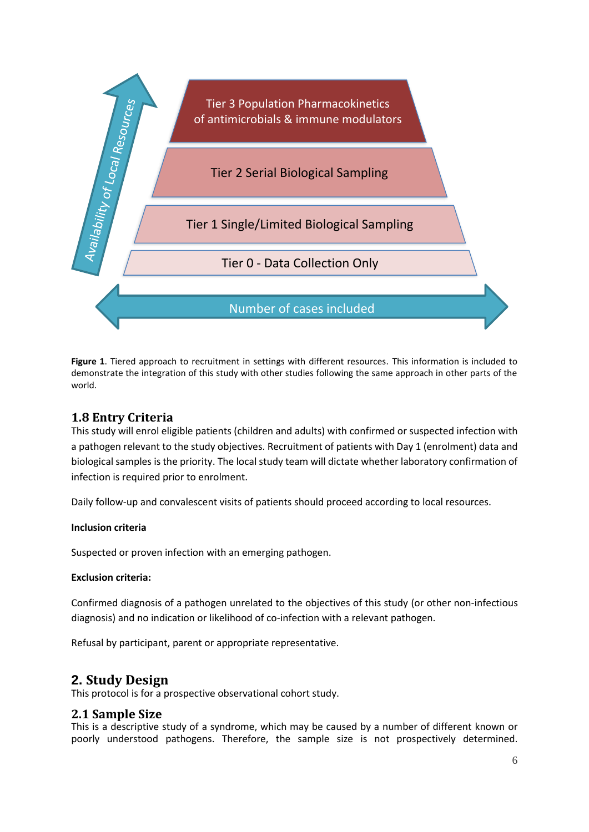

**Figure 1**. Tiered approach to recruitment in settings with different resources. This information is included to demonstrate the integration of this study with other studies following the same approach in other parts of the world.

### <span id="page-5-0"></span>**1.8 Entry Criteria**

This study will enrol eligible patients (children and adults) with confirmed or suspected infection with a pathogen relevant to the study objectives. Recruitment of patients with Day 1 (enrolment) data and biological samples is the priority. The local study team will dictate whether laboratory confirmation of infection is required prior to enrolment.

Daily follow-up and convalescent visits of patients should proceed according to local resources.

#### **Inclusion criteria**

Suspected or proven infection with an emerging pathogen.

#### **Exclusion criteria:**

Confirmed diagnosis of a pathogen unrelated to the objectives of this study (or other non-infectious diagnosis) and no indication or likelihood of co-infection with a relevant pathogen.

Refusal by participant, parent or appropriate representative.

# <span id="page-5-1"></span>**2. Study Design**

This protocol is for a prospective observational cohort study.

### <span id="page-5-2"></span>**2.1 Sample Size**

This is a descriptive study of a syndrome, which may be caused by a number of different known or poorly understood pathogens. Therefore, the sample size is not prospectively determined.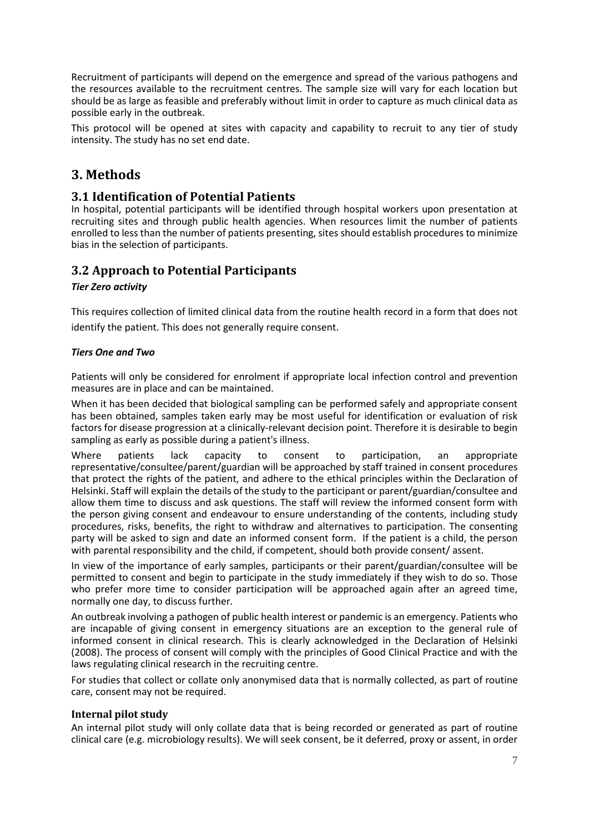Recruitment of participants will depend on the emergence and spread of the various pathogens and the resources available to the recruitment centres. The sample size will vary for each location but should be as large as feasible and preferably without limit in order to capture as much clinical data as possible early in the outbreak.

This protocol will be opened at sites with capacity and capability to recruit to any tier of study intensity. The study has no set end date.

# <span id="page-6-0"></span>**3. Methods**

## <span id="page-6-1"></span>**3.1 Identification of Potential Patients**

In hospital, potential participants will be identified through hospital workers upon presentation at recruiting sites and through public health agencies. When resources limit the number of patients enrolled to less than the number of patients presenting, sites should establish procedures to minimize bias in the selection of participants.

# <span id="page-6-2"></span>**3.2 Approach to Potential Participants**

#### *Tier Zero activity*

This requires collection of limited clinical data from the routine health record in a form that does not identify the patient. This does not generally require consent.

#### *Tiers One and Two*

Patients will only be considered for enrolment if appropriate local infection control and prevention measures are in place and can be maintained.

When it has been decided that biological sampling can be performed safely and appropriate consent has been obtained, samples taken early may be most useful for identification or evaluation of risk factors for disease progression at a clinically-relevant decision point. Therefore it is desirable to begin sampling as early as possible during a patient's illness.

Where patients lack capacity to consent to participation, an appropriate representative/consultee/parent/guardian will be approached by staff trained in consent procedures that protect the rights of the patient, and adhere to the ethical principles within the Declaration of Helsinki. Staff will explain the details of the study to the participant or parent/guardian/consultee and allow them time to discuss and ask questions. The staff will review the informed consent form with the person giving consent and endeavour to ensure understanding of the contents, including study procedures, risks, benefits, the right to withdraw and alternatives to participation. The consenting party will be asked to sign and date an informed consent form. If the patient is a child, the person with parental responsibility and the child, if competent, should both provide consent/ assent.

In view of the importance of early samples, participants or their parent/guardian/consultee will be permitted to consent and begin to participate in the study immediately if they wish to do so. Those who prefer more time to consider participation will be approached again after an agreed time, normally one day, to discuss further.

An outbreak involving a pathogen of public health interest or pandemic is an emergency. Patients who are incapable of giving consent in emergency situations are an exception to the general rule of informed consent in clinical research. This is clearly acknowledged in the Declaration of Helsinki (2008). The process of consent will comply with the principles of Good Clinical Practice and with the laws regulating clinical research in the recruiting centre.

For studies that collect or collate only anonymised data that is normally collected, as part of routine care, consent may not be required.

#### <span id="page-6-3"></span>**Internal pilot study**

An internal pilot study will only collate data that is being recorded or generated as part of routine clinical care (e.g. microbiology results). We will seek consent, be it deferred, proxy or assent, in order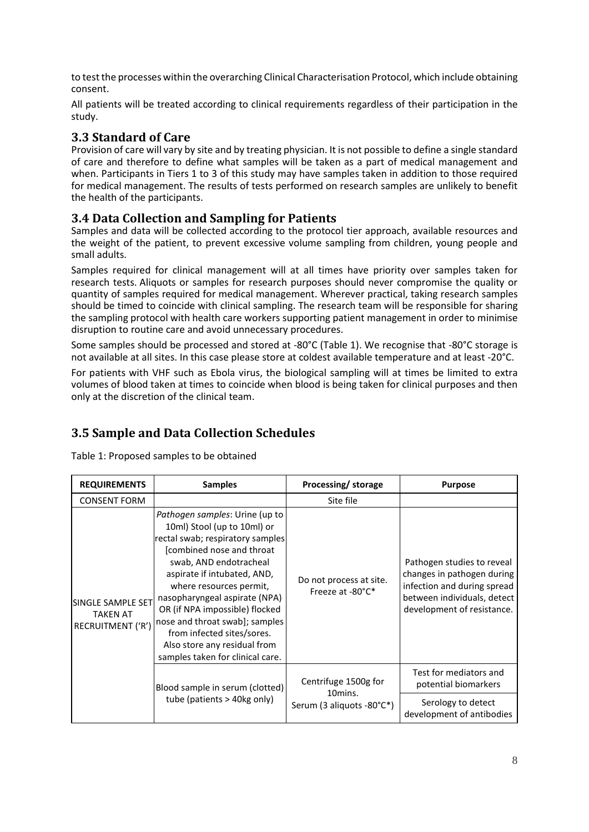to test the processes within the overarching Clinical Characterisation Protocol, which include obtaining consent.

All patients will be treated according to clinical requirements regardless of their participation in the study.

## <span id="page-7-0"></span>**3.3 Standard of Care**

Provision of care will vary by site and by treating physician. It is not possible to define a single standard of care and therefore to define what samples will be taken as a part of medical management and when. Participants in Tiers 1 to 3 of this study may have samples taken in addition to those required for medical management. The results of tests performed on research samples are unlikely to benefit the health of the participants.

# <span id="page-7-1"></span>**3.4 Data Collection and Sampling for Patients**

Samples and data will be collected according to the protocol tier approach, available resources and the weight of the patient, to prevent excessive volume sampling from children, young people and small adults.

Samples required for clinical management will at all times have priority over samples taken for research tests. Aliquots or samples for research purposes should never compromise the quality or quantity of samples required for medical management. Wherever practical, taking research samples should be timed to coincide with clinical sampling. The research team will be responsible for sharing the sampling protocol with health care workers supporting patient management in order to minimise disruption to routine care and avoid unnecessary procedures.

Some samples should be processed and stored at -80°C (Table 1). We recognise that -80°C storage is not available at all sites. In this case please store at coldest available temperature and at least -20°C.

For patients with VHF such as Ebola virus, the biological sampling will at times be limited to extra volumes of blood taken at times to coincide when blood is being taken for clinical purposes and then only at the discretion of the clinical team.

# <span id="page-7-2"></span>**3.5 Sample and Data Collection Schedules**

Table 1: Proposed samples to be obtained

| <b>REQUIREMENTS</b>                                              | <b>Samples</b>                                                                                                                                                                                                                                                                                                                                                                                                           | Processing/storage                          | <b>Purpose</b>                                                                                                                                       |
|------------------------------------------------------------------|--------------------------------------------------------------------------------------------------------------------------------------------------------------------------------------------------------------------------------------------------------------------------------------------------------------------------------------------------------------------------------------------------------------------------|---------------------------------------------|------------------------------------------------------------------------------------------------------------------------------------------------------|
| <b>CONSENT FORM</b>                                              |                                                                                                                                                                                                                                                                                                                                                                                                                          | Site file                                   |                                                                                                                                                      |
| <b>SINGLE SAMPLE SET</b><br><b>TAKEN AT</b><br>RECRUITMENT ('R') | Pathogen samples: Urine (up to<br>10ml) Stool (up to 10ml) or<br>rectal swab; respiratory samples<br>combined nose and throat<br>swab, AND endotracheal<br>aspirate if intubated, AND,<br>where resources permit,<br>nasopharyngeal aspirate (NPA)<br>OR (if NPA impossible) flocked<br>nose and throat swab]; samples<br>from infected sites/sores.<br>Also store any residual from<br>samples taken for clinical care. | Do not process at site.<br>Freeze at -80°C* | Pathogen studies to reveal<br>changes in pathogen during<br>infection and during spread<br>between individuals, detect<br>development of resistance. |
|                                                                  | Blood sample in serum (clotted)                                                                                                                                                                                                                                                                                                                                                                                          | Centrifuge 1500g for                        | Test for mediators and<br>potential biomarkers                                                                                                       |
|                                                                  | tube (patients > 40kg only)                                                                                                                                                                                                                                                                                                                                                                                              | 10mins.<br>Serum (3 aliquots -80°C*)        | Serology to detect<br>development of antibodies                                                                                                      |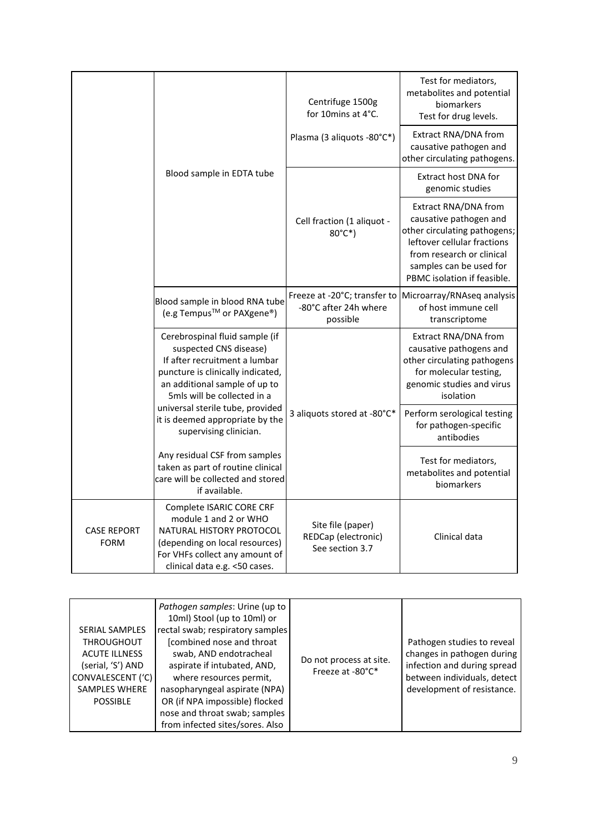|                                   |                                                                                                                                                                                                | Centrifuge 1500g<br>for 10mins at 4°C.                      | Test for mediators,<br>metabolites and potential<br>biomarkers<br>Test for drug levels.                                                                                                              |
|-----------------------------------|------------------------------------------------------------------------------------------------------------------------------------------------------------------------------------------------|-------------------------------------------------------------|------------------------------------------------------------------------------------------------------------------------------------------------------------------------------------------------------|
|                                   |                                                                                                                                                                                                | Plasma (3 aliquots -80°C*)                                  | Extract RNA/DNA from<br>causative pathogen and<br>other circulating pathogens.                                                                                                                       |
|                                   | Blood sample in EDTA tube                                                                                                                                                                      |                                                             | Extract host DNA for<br>genomic studies                                                                                                                                                              |
|                                   |                                                                                                                                                                                                | Cell fraction (1 aliquot -<br>$80^{\circ}$ C*)              | Extract RNA/DNA from<br>causative pathogen and<br>other circulating pathogens;<br>leftover cellular fractions<br>from research or clinical<br>samples can be used for<br>PBMC isolation if feasible. |
|                                   | Blood sample in blood RNA tube<br>(e.g Tempus <sup>™</sup> or PAXgene <sup>®</sup> )                                                                                                           | -80°C after 24h where<br>possible                           | Freeze at -20°C; transfer to Microarray/RNAseq analysis<br>of host immune cell<br>transcriptome                                                                                                      |
|                                   | Cerebrospinal fluid sample (if<br>suspected CNS disease)<br>If after recruitment a lumbar<br>puncture is clinically indicated,<br>an additional sample of up to<br>5mls will be collected in a |                                                             | Extract RNA/DNA from<br>causative pathogens and<br>other circulating pathogens<br>for molecular testing,<br>genomic studies and virus<br>isolation                                                   |
|                                   | universal sterile tube, provided<br>it is deemed appropriate by the<br>supervising clinician.                                                                                                  | 3 aliquots stored at -80°C*                                 | Perform serological testing<br>for pathogen-specific<br>antibodies                                                                                                                                   |
|                                   | Any residual CSF from samples<br>taken as part of routine clinical<br>care will be collected and stored<br>if available.                                                                       |                                                             | Test for mediators,<br>metabolites and potential<br>biomarkers                                                                                                                                       |
| <b>CASE REPORT</b><br><b>FORM</b> | Complete ISARIC CORE CRF<br>module 1 and 2 or WHO<br>NATURAL HISTORY PROTOCOL<br>(depending on local resources)<br>For VHFs collect any amount of<br>clinical data e.g. <50 cases.             | Site file (paper)<br>REDCap (electronic)<br>See section 3.7 | Clinical data                                                                                                                                                                                        |

| <b>SERIAL SAMPLES</b><br><b>THROUGHOUT</b><br><b>ACUTE ILLNESS</b><br>(serial, 'S') AND<br>CONVALESCENT ('C)<br><b>SAMPLES WHERE</b><br><b>POSSIBLE</b> | Pathogen samples: Urine (up to<br>10ml) Stool (up to 10ml) or<br>rectal swab; respiratory samples<br>[combined nose and throat<br>swab, AND endotracheal<br>aspirate if intubated, AND,<br>where resources permit,<br>nasopharyngeal aspirate (NPA)<br>OR (if NPA impossible) flocked<br>nose and throat swab; samples<br>from infected sites/sores. Also | Do not process at site.<br>Freeze at -80°C* | Pathogen studies to reveal<br>changes in pathogen during<br>infection and during spread<br>between individuals, detect<br>development of resistance. |
|---------------------------------------------------------------------------------------------------------------------------------------------------------|-----------------------------------------------------------------------------------------------------------------------------------------------------------------------------------------------------------------------------------------------------------------------------------------------------------------------------------------------------------|---------------------------------------------|------------------------------------------------------------------------------------------------------------------------------------------------------|
|---------------------------------------------------------------------------------------------------------------------------------------------------------|-----------------------------------------------------------------------------------------------------------------------------------------------------------------------------------------------------------------------------------------------------------------------------------------------------------------------------------------------------------|---------------------------------------------|------------------------------------------------------------------------------------------------------------------------------------------------------|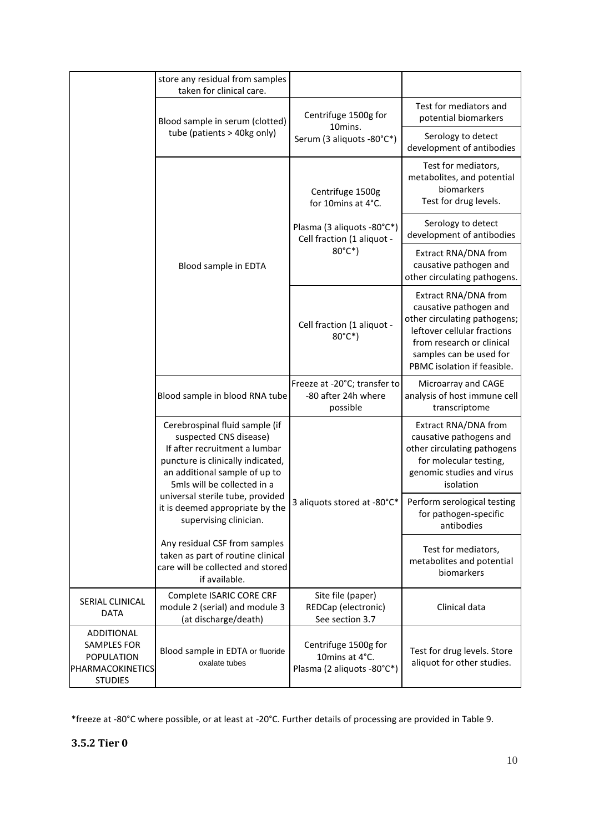|                                                                                                    | store any residual from samples<br>taken for clinical care.                                                                                                                                    |                                                                      |                                                                                                                                                                                                      |
|----------------------------------------------------------------------------------------------------|------------------------------------------------------------------------------------------------------------------------------------------------------------------------------------------------|----------------------------------------------------------------------|------------------------------------------------------------------------------------------------------------------------------------------------------------------------------------------------------|
|                                                                                                    | Blood sample in serum (clotted)                                                                                                                                                                | Centrifuge 1500g for<br>10mins.                                      | Test for mediators and<br>potential biomarkers                                                                                                                                                       |
|                                                                                                    | tube (patients > 40kg only)                                                                                                                                                                    | Serum (3 aliquots -80°C*)                                            | Serology to detect<br>development of antibodies                                                                                                                                                      |
|                                                                                                    |                                                                                                                                                                                                | Centrifuge 1500g<br>for 10mins at 4°C.                               | Test for mediators,<br>metabolites, and potential<br>biomarkers<br>Test for drug levels.                                                                                                             |
|                                                                                                    |                                                                                                                                                                                                | Plasma (3 aliquots -80°C*)<br>Cell fraction (1 aliquot -             | Serology to detect<br>development of antibodies                                                                                                                                                      |
|                                                                                                    | Blood sample in EDTA                                                                                                                                                                           | 80°C*)                                                               | Extract RNA/DNA from<br>causative pathogen and<br>other circulating pathogens.                                                                                                                       |
|                                                                                                    |                                                                                                                                                                                                | Cell fraction (1 aliquot -<br>80°C*)                                 | Extract RNA/DNA from<br>causative pathogen and<br>other circulating pathogens;<br>leftover cellular fractions<br>from research or clinical<br>samples can be used for<br>PBMC isolation if feasible. |
|                                                                                                    | Blood sample in blood RNA tube                                                                                                                                                                 | Freeze at -20°C; transfer to<br>-80 after 24h where<br>possible      | Microarray and CAGE<br>analysis of host immune cell<br>transcriptome                                                                                                                                 |
|                                                                                                    | Cerebrospinal fluid sample (if<br>suspected CNS disease)<br>If after recruitment a lumbar<br>puncture is clinically indicated,<br>an additional sample of up to<br>5mls will be collected in a |                                                                      | Extract RNA/DNA from<br>causative pathogens and<br>other circulating pathogens<br>for molecular testing,<br>genomic studies and virus<br>isolation                                                   |
|                                                                                                    | universal sterile tube, provided<br>it is deemed appropriate by the<br>supervising clinician.                                                                                                  | 3 aliquots stored at -80°C*                                          | Perform serological testing<br>for pathogen-specific<br>antibodies                                                                                                                                   |
|                                                                                                    | Any residual CSF from samples<br>taken as part of routine clinical<br>care will be collected and stored<br>if available.                                                                       |                                                                      | Test for mediators,<br>metabolites and potential<br>biomarkers                                                                                                                                       |
| SERIAL CLINICAL<br>DATA                                                                            | Complete ISARIC CORE CRF<br>module 2 (serial) and module 3<br>(at discharge/death)                                                                                                             | Site file (paper)<br>REDCap (electronic)<br>See section 3.7          | Clinical data                                                                                                                                                                                        |
| <b>ADDITIONAL</b><br><b>SAMPLES FOR</b><br><b>POPULATION</b><br>PHARMACOKINETICS<br><b>STUDIES</b> | Blood sample in EDTA or fluoride<br>oxalate tubes                                                                                                                                              | Centrifuge 1500g for<br>10mins at 4°C.<br>Plasma (2 aliquots -80°C*) | Test for drug levels. Store<br>aliquot for other studies.                                                                                                                                            |

<span id="page-9-0"></span>\*freeze at -80°C where possible, or at least at -20°C. Further details of processing are provided in Table 9.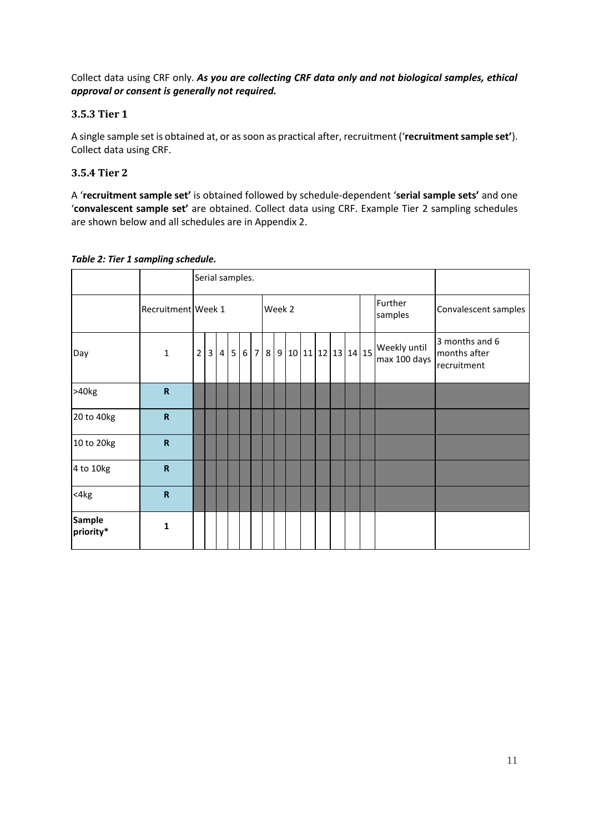Collect data using CRF only. *As you are collecting CRF data only and not biological samples, ethical approval or consent is generally not required.*

#### <span id="page-10-0"></span>**3.5.3 Tier 1**

A single sample set is obtained at, or as soon as practical after, recruitment ('**recruitment sample set'**). Collect data using CRF.

#### <span id="page-10-1"></span>**3.5.4 Tier 2**

A '**recruitment sample set'** is obtained followed by schedule-dependent '**serial sample sets'** and one '**convalescent sample set'** are obtained. Collect data using CRF. Example Tier 2 sampling schedules are shown below and all schedules are in Appendix 2.

|                            |                         |                | Serial samples. |                |   |   |                |        |  |  |                       |  |  |                              |                                               |
|----------------------------|-------------------------|----------------|-----------------|----------------|---|---|----------------|--------|--|--|-----------------------|--|--|------------------------------|-----------------------------------------------|
|                            | Recruitment Week 1      |                |                 |                |   |   |                | Week 2 |  |  |                       |  |  | Further<br>samples           | Convalescent samples                          |
| Day                        | $\mathbf{1}$            | $\overline{2}$ | 3               | 4 <sup>1</sup> | 5 | 6 | 7 <sup>1</sup> |        |  |  | 8 9 10 11 12 13 14 15 |  |  | Weekly until<br>max 100 days | 3 months and 6<br>months after<br>recruitment |
| >40kg                      | $\mathsf R$             |                |                 |                |   |   |                |        |  |  |                       |  |  |                              |                                               |
| 20 to 40kg                 | ${\sf R}$               |                |                 |                |   |   |                |        |  |  |                       |  |  |                              |                                               |
| 10 to 20kg                 | $\overline{\mathsf{R}}$ |                |                 |                |   |   |                |        |  |  |                       |  |  |                              |                                               |
| 4 to 10kg                  | $\mathsf R$             |                |                 |                |   |   |                |        |  |  |                       |  |  |                              |                                               |
| $<$ 4 $kg$                 | $\mathsf R$             |                |                 |                |   |   |                |        |  |  |                       |  |  |                              |                                               |
| <b>Sample</b><br>priority* | $\mathbf{1}$            |                |                 |                |   |   |                |        |  |  |                       |  |  |                              |                                               |

*Table 2: Tier 1 sampling schedule.*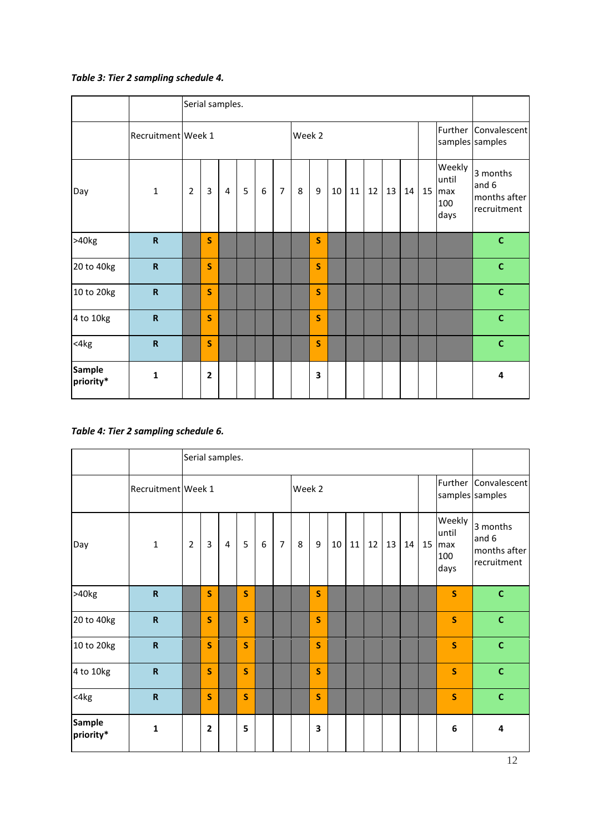## *Table 3: Tier 2 sampling schedule 4.*

|                            |                           |                |   | Serial samples. |   |   |                |   |        |    |    |    |    |    |    |                                       |                                                  |
|----------------------------|---------------------------|----------------|---|-----------------|---|---|----------------|---|--------|----|----|----|----|----|----|---------------------------------------|--------------------------------------------------|
|                            | Recruitment Week 1        |                |   |                 |   |   |                |   | Week 2 |    |    |    |    |    |    |                                       | Further Convalescent<br>samples samples          |
| Day                        | $\mathbf{1}$              | $\overline{2}$ | 3 | $\overline{4}$  | 5 | 6 | $\overline{7}$ | 8 | 9      | 10 | 11 | 12 | 13 | 14 | 15 | Weekly<br>until<br>max<br>100<br>days | 3 months<br>and 6<br>months after<br>recruitment |
| >40kg                      | $\mathbf R$               |                | S |                 |   |   |                |   | S      |    |    |    |    |    |    |                                       | $\mathbf C$                                      |
| 20 to 40kg                 | $\mathbf R$               |                | S |                 |   |   |                |   | S      |    |    |    |    |    |    |                                       | $\mathbf C$                                      |
| 10 to 20kg                 | $\boldsymbol{\mathsf{R}}$ |                | S |                 |   |   |                |   | S      |    |    |    |    |    |    |                                       | $\mathbf c$                                      |
| 4 to 10kg                  | $\mathbf R$               |                | S |                 |   |   |                |   | S      |    |    |    |    |    |    |                                       | $\mathbf c$                                      |
| <4kg                       | $\mathbf R$               |                | S |                 |   |   |                |   | S      |    |    |    |    |    |    |                                       | $\mathbf c$                                      |
| <b>Sample</b><br>priority* | $\mathbf{1}$              |                | 2 |                 |   |   |                |   | 3      |    |    |    |    |    |    |                                       | 4                                                |

*Table 4: Tier 2 sampling schedule 6.*

|                            |                         |                | Serial samples. |                |              |   |                |        |                |    |    |    |    |         |                                       |                                                  |
|----------------------------|-------------------------|----------------|-----------------|----------------|--------------|---|----------------|--------|----------------|----|----|----|----|---------|---------------------------------------|--------------------------------------------------|
|                            | Recruitment Week 1      |                |                 |                |              |   |                | Week 2 |                |    |    |    |    |         |                                       | Further Convalescent<br>samples samples          |
| Day                        | $\mathbf{1}$            | $\overline{2}$ | $\overline{3}$  | $\overline{4}$ | 5            | 6 | $\overline{7}$ | 8      | $\overline{9}$ | 10 | 11 | 12 | 13 | $14$ 15 | Weekly<br>until<br>max<br>100<br>days | 3 months<br>and 6<br>months after<br>recruitment |
| >40kg                      | $\mathbf R$             |                | S               |                | $\mathbf S$  |   |                |        | S              |    |    |    |    |         | S                                     | $\mathbf{C}$                                     |
| 20 to 40kg                 | $\mathbf R$             |                | S               |                | $\mathbf S$  |   |                |        | S              |    |    |    |    |         | $\mathsf{s}$                          | $\mathbf C$                                      |
| 10 to 20kg                 | $\overline{\mathsf{R}}$ |                | S               |                | $\mathsf{s}$ |   |                |        | S              |    |    |    |    |         | $\mathsf{s}$                          | $\mathbf{C}$                                     |
| 4 to 10kg                  | $\overline{\mathsf{R}}$ |                | S               |                | $\mathsf{s}$ |   |                |        | S              |    |    |    |    |         | S                                     | $\mathbf c$                                      |
| $<$ 4 $kg$                 | ${\bf R}$               |                | S               |                | $\mathsf{s}$ |   |                |        | S              |    |    |    |    |         | $\mathsf{s}$                          | $\mathbf c$                                      |
| <b>Sample</b><br>priority* | $\mathbf{1}$            |                | $\overline{2}$  |                | 5            |   |                |        | 3              |    |    |    |    |         | 6                                     | 4                                                |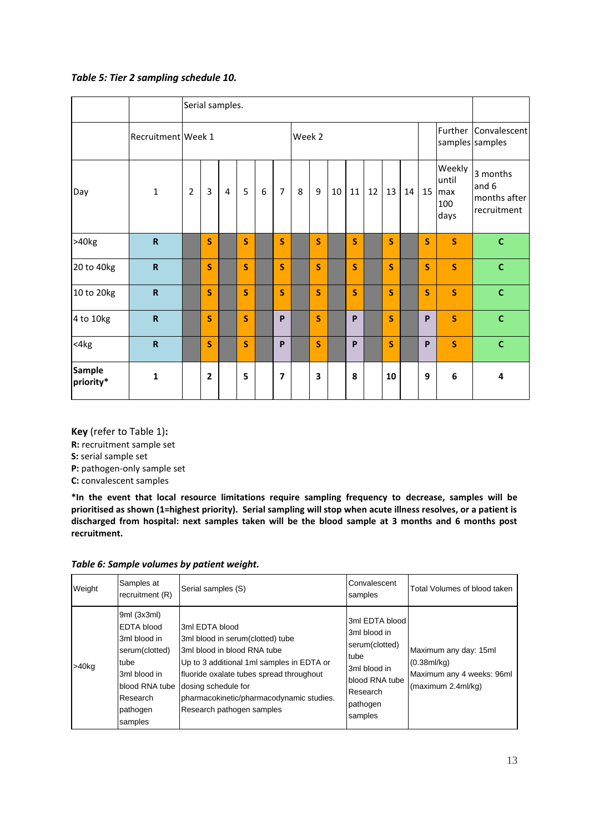#### *Table 5: Tier 2 sampling schedule 10.*

|                            |                         |                |                | Serial samples. |              |   |                |        |   |    |              |    |    |    |                         |                                       |                                                  |
|----------------------------|-------------------------|----------------|----------------|-----------------|--------------|---|----------------|--------|---|----|--------------|----|----|----|-------------------------|---------------------------------------|--------------------------------------------------|
|                            | Recruitment Week 1      |                |                |                 |              |   |                | Week 2 |   |    |              |    |    |    |                         |                                       | Further Convalescent<br>samples samples          |
| Day                        | $\mathbf{1}$            | $\overline{2}$ | $\overline{3}$ | 4               | 5            | 6 | $\overline{7}$ | 8      | 9 | 10 | 11           | 12 | 13 | 14 | 15                      | Weekly<br>until<br>max<br>100<br>days | 3 months<br>and 6<br>months after<br>recruitment |
| >40kg                      | $\mathbf R$             |                | S              |                 | $\mathsf{s}$ |   | S              |        | S |    | $\mathsf{s}$ |    | S  |    | $\mathsf{S}$            | $\mathsf{S}$                          | $\mathbf{C}$                                     |
| 20 to 40kg                 | ${\sf R}$               |                | S              |                 | $\mathsf{s}$ |   | S              |        | S |    | $\mathsf{s}$ |    | S  |    | $\overline{\mathbf{S}}$ | $\mathsf{s}$                          | $\mathbf c$                                      |
| 10 to 20kg                 | $\mathbf R$             |                | S              |                 | $\mathsf{s}$ |   | S              |        | S |    | $\mathsf{s}$ |    | S  |    | $\overline{\mathbf{S}}$ | $\mathsf{s}$                          | $\mathbf{C}$                                     |
| 4 to 10kg                  | $\mathbf R$             |                | S              |                 | $\mathbf S$  |   | P              |        | S |    | P            |    | S  |    | P                       | $\overline{\mathbf{S}}$               | $\mathbf c$                                      |
| $<$ 4 $kg$                 | $\overline{\mathsf{R}}$ |                | S              |                 | S            |   | P              |        | S |    | P            |    | S  |    | P                       | S                                     | $\mathbf{C}$                                     |
| <b>Sample</b><br>priority* | $\mathbf{1}$            |                | $\mathbf{2}$   |                 | 5            |   | $\overline{7}$ |        | 3 |    | 8            |    | 10 |    | 9                       | 6                                     | 4                                                |

**Key** (refer to Table 1)**: R:** recruitment sample set **S:** serial sample set **P:** pathogen-only sample set **C:** convalescent samples

**\*In the event that local resource limitations require sampling frequency to decrease, samples will be prioritised as shown (1=highest priority). Serial sampling will stop when acute illness resolves, or a patient is discharged from hospital: next samples taken will be the blood sample at 3 months and 6 months post recruitment.**

| Weight   | Samples at<br>recruitment (R)                                                                                                                   | Serial samples (S)                                                                                                                                                                                                                                                         | Convalescent<br>samples                                                                                                       | Total Volumes of blood taken                                                                  |
|----------|-------------------------------------------------------------------------------------------------------------------------------------------------|----------------------------------------------------------------------------------------------------------------------------------------------------------------------------------------------------------------------------------------------------------------------------|-------------------------------------------------------------------------------------------------------------------------------|-----------------------------------------------------------------------------------------------|
| $>40$ kg | 9ml (3x3ml)<br><b>EDTA blood</b><br>3ml blood in<br>serum(clotted)<br>tube<br>3ml blood in<br>blood RNA tube<br>Research<br>pathogen<br>samples | 3ml EDTA blood<br>3ml blood in serum(clotted) tube<br>3ml blood in blood RNA tube<br>Up to 3 additional 1ml samples in EDTA or<br>fluoride oxalate tubes spread throughout<br>dosing schedule for<br>pharmacokinetic/pharmacodynamic studies.<br>Research pathogen samples | 3ml EDTA blood<br>3ml blood in<br>serum(clotted)<br>tube<br>3ml blood in<br>blood RNA tube<br>Research<br>pathogen<br>samples | Maximum any day: 15ml<br>$(0.38$ ml/kg $)$<br>Maximum any 4 weeks: 96ml<br>(maximum 2.4ml/kg) |

*Table 6: Sample volumes by patient weight.*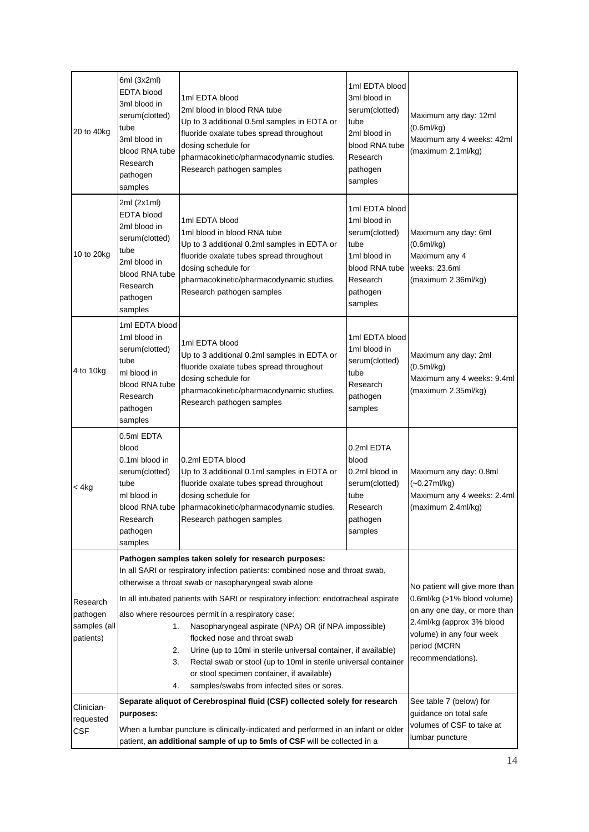| 20 to 40kg                                        | 6ml (3x2ml)<br><b>EDTA blood</b><br>3ml blood in<br>serum(clotted)<br>tube<br>3ml blood in<br>blood RNA tube<br>Research<br>pathogen<br>samples                              | 1ml EDTA blood<br>2ml blood in blood RNA tube<br>Up to 3 additional 0.5ml samples in EDTA or<br>fluoride oxalate tubes spread throughout<br>dosing schedule for<br>pharmacokinetic/pharmacodynamic studies.<br>Research pathogen samples                                                                                                                                                                                                                                                                                                                                                                                                                                                                                                             | 1ml EDTA blood<br>3ml blood in<br>serum(clotted)<br>tube<br>2ml blood in<br>blood RNA tube<br>Research<br>pathogen<br>samples | Maximum any day: 12ml<br>(0.6ml/kg)<br>Maximum any 4 weeks: 42ml<br>(maximum 2.1ml/kg)                                                                                                                                 |
|---------------------------------------------------|------------------------------------------------------------------------------------------------------------------------------------------------------------------------------|------------------------------------------------------------------------------------------------------------------------------------------------------------------------------------------------------------------------------------------------------------------------------------------------------------------------------------------------------------------------------------------------------------------------------------------------------------------------------------------------------------------------------------------------------------------------------------------------------------------------------------------------------------------------------------------------------------------------------------------------------|-------------------------------------------------------------------------------------------------------------------------------|------------------------------------------------------------------------------------------------------------------------------------------------------------------------------------------------------------------------|
| 10 to 20kg                                        | 2ml (2x1ml)<br><b>EDTA</b> blood<br>2ml blood in<br>serum(clotted)<br>tube<br>2ml blood in<br>blood RNA tube<br>Research<br>pathogen<br>samples                              | 1ml EDTA blood<br>1ml blood in blood RNA tube<br>Up to 3 additional 0.2ml samples in EDTA or<br>fluoride oxalate tubes spread throughout<br>dosing schedule for<br>pharmacokinetic/pharmacodynamic studies.<br>Research pathogen samples                                                                                                                                                                                                                                                                                                                                                                                                                                                                                                             | 1ml EDTA blood<br>1ml blood in<br>serum(clotted)<br>tube<br>1ml blood in<br>blood RNA tube<br>Research<br>pathogen<br>samples | Maximum any day: 6ml<br>$(0.6$ ml/kg $)$<br>Maximum any 4<br>weeks: 23.6ml<br>(maximum 2.36ml/kg)                                                                                                                      |
| 4 to 10kg                                         | 1ml EDTA blood<br>1ml blood in<br>serum(clotted)<br>tube<br>ml blood in<br>blood RNA tube<br>Research<br>pathogen<br>samples                                                 | 1ml EDTA blood<br>Up to 3 additional 0.2ml samples in EDTA or<br>fluoride oxalate tubes spread throughout<br>dosing schedule for<br>pharmacokinetic/pharmacodynamic studies.<br>Research pathogen samples                                                                                                                                                                                                                                                                                                                                                                                                                                                                                                                                            | 1ml EDTA blood<br>1ml blood in<br>serum(clotted)<br>tube<br>Research<br>pathogen<br>samples                                   | Maximum any day: 2ml<br>(0.5ml/kg)<br>Maximum any 4 weeks: 9.4ml<br>(maximum 2.35ml/kg)                                                                                                                                |
| < 4kg                                             | 0.5ml EDTA<br>blood<br>0.1ml blood in<br>serum(clotted)<br>tube<br>ml blood in<br>blood RNA tube<br>Research<br>pathogen<br>samples                                          | 0.2ml EDTA blood<br>Up to 3 additional 0.1ml samples in EDTA or<br>fluoride oxalate tubes spread throughout<br>dosing schedule for<br>pharmacokinetic/pharmacodynamic studies.<br>Research pathogen samples                                                                                                                                                                                                                                                                                                                                                                                                                                                                                                                                          | 0.2ml EDTA<br>blood<br>0.2ml blood in<br>serum(clotted)<br>tube<br>Research<br>pathogen<br>samples                            | Maximum any day: 0.8ml<br>$(-0.27 \text{mJ/kg})$<br>Maximum any 4 weeks: 2.4ml<br>(maximum 2.4ml/kg)                                                                                                                   |
| Research<br>pathogen<br>samples (all<br>patients) | 1.<br>2.<br>3.<br>4.                                                                                                                                                         | Pathogen samples taken solely for research purposes:<br>In all SARI or respiratory infection patients: combined nose and throat swab,<br>otherwise a throat swab or nasopharyngeal swab alone<br>In all intubated patients with SARI or respiratory infection: endotracheal aspirate<br>also where resources permit in a respiratory case:<br>Nasopharyngeal aspirate (NPA) OR (if NPA impossible)<br>flocked nose and throat swab<br>Urine (up to 10ml in sterile universal container, if available)<br>Rectal swab or stool (up to 10ml in sterile universal container<br>or stool specimen container, if available)<br>samples/swabs from infected sites or sores.<br>Separate aliquot of Cerebrospinal fluid (CSF) collected solely for research |                                                                                                                               | No patient will give more than<br>0.6ml/kg (>1% blood volume)<br>on any one day, or more than<br>2.4ml/kg (approx 3% blood<br>volume) in any four week<br>period (MCRN<br>recommendations).<br>See table 7 (below) for |
| Clinician-<br>requested<br><b>CSF</b>             | purposes:<br>When a lumbar puncture is clinically-indicated and performed in an infant or older<br>patient, an additional sample of up to 5mls of CSF will be collected in a | guidance on total safe<br>volumes of CSF to take at<br>lumbar puncture                                                                                                                                                                                                                                                                                                                                                                                                                                                                                                                                                                                                                                                                               |                                                                                                                               |                                                                                                                                                                                                                        |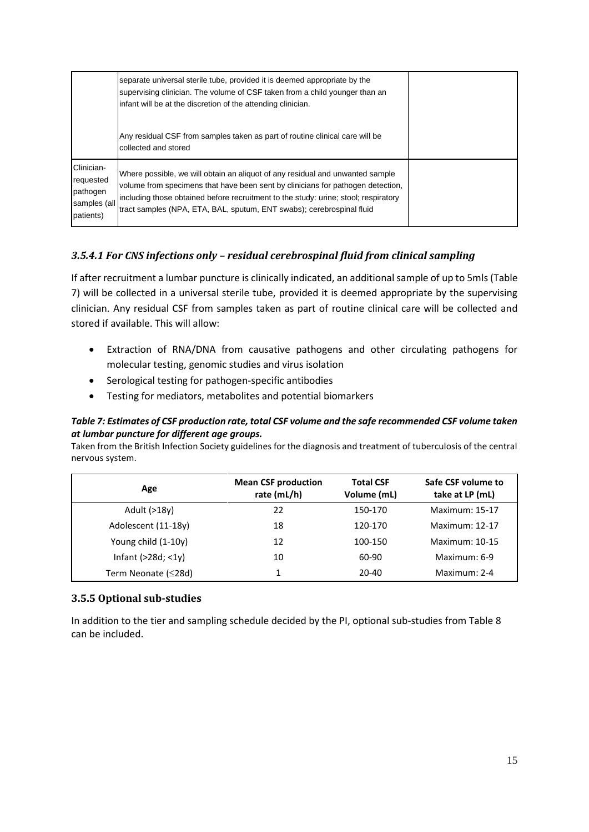|                                                                  | separate universal sterile tube, provided it is deemed appropriate by the<br>supervising clinician. The volume of CSF taken from a child younger than an<br>infant will be at the discretion of the attending clinician.                                                                                                         |  |
|------------------------------------------------------------------|----------------------------------------------------------------------------------------------------------------------------------------------------------------------------------------------------------------------------------------------------------------------------------------------------------------------------------|--|
|                                                                  | Any residual CSF from samples taken as part of routine clinical care will be<br>collected and stored                                                                                                                                                                                                                             |  |
| Clinician-<br>requested<br>pathogen<br>samples (all<br>patients) | Where possible, we will obtain an aliquot of any residual and unwanted sample<br>volume from specimens that have been sent by clinicians for pathogen detection,<br>including those obtained before recruitment to the study: urine; stool; respiratory<br>tract samples (NPA, ETA, BAL, sputum, ENT swabs); cerebrospinal fluid |  |

### <span id="page-14-0"></span>*3.5.4.1 For CNS infections only – residual cerebrospinal fluid from clinical sampling*

If after recruitment a lumbar puncture is clinically indicated, an additional sample of up to 5mls (Table 7) will be collected in a universal sterile tube, provided it is deemed appropriate by the supervising clinician. Any residual CSF from samples taken as part of routine clinical care will be collected and stored if available. This will allow:

- Extraction of RNA/DNA from causative pathogens and other circulating pathogens for molecular testing, genomic studies and virus isolation
- Serological testing for pathogen-specific antibodies
- Testing for mediators, metabolites and potential biomarkers

#### *Table 7: Estimates of CSF production rate, total CSF volume and the safe recommended CSF volume taken at lumbar puncture for different age groups.*

Taken from the British Infection Society guidelines for the diagnosis and treatment of tuberculosis of the central nervous system.

| Age                  | <b>Mean CSF production</b><br>rate (mL/h) | <b>Total CSF</b><br>Volume (mL) | Safe CSF volume to<br>take at LP (mL) |
|----------------------|-------------------------------------------|---------------------------------|---------------------------------------|
| Adult (>18y)         | 22                                        | 150-170                         | Maximum: 15-17                        |
| Adolescent (11-18y)  | 18                                        | 120-170                         | Maximum: 12-17                        |
| Young child (1-10y)  | 12                                        | 100-150                         | Maximum: 10-15                        |
| Infant $(>28d; <1y)$ | 10                                        | 60-90                           | Maximum: 6-9                          |
| Term Neonate (≤28d)  |                                           | $20 - 40$                       | Maximum: 2-4                          |

#### <span id="page-14-1"></span>**3.5.5 Optional sub-studies**

In addition to the tier and sampling schedule decided by the PI, optional sub-studies from Table 8 can be included.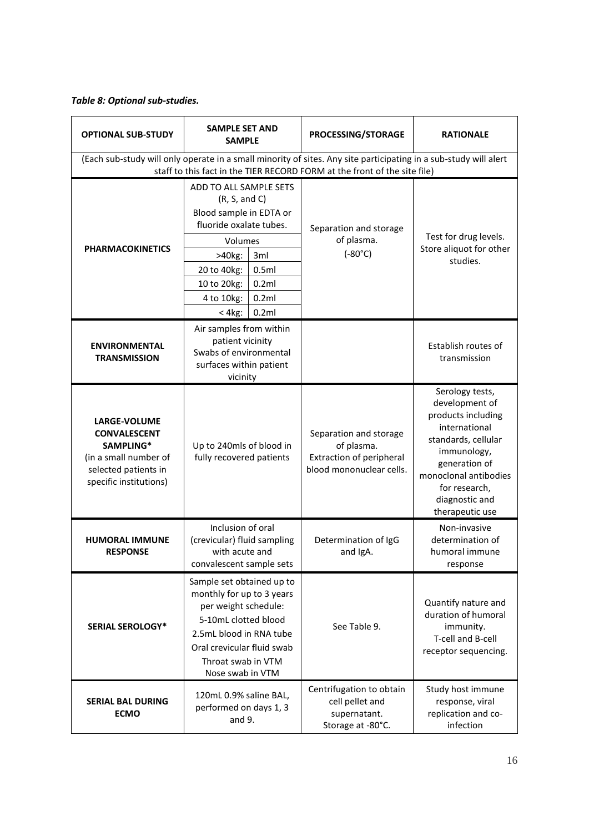## *Table 8: Optional sub-studies.*

| <b>OPTIONAL SUB-STUDY</b>                                                                                                          | <b>SAMPLE SET AND</b><br><b>SAMPLE</b>                                                                                                                                                                    |                                         | PROCESSING/STORAGE                                                                                                                                                                            | <b>RATIONALE</b>                                                                                                                                                                                               |
|------------------------------------------------------------------------------------------------------------------------------------|-----------------------------------------------------------------------------------------------------------------------------------------------------------------------------------------------------------|-----------------------------------------|-----------------------------------------------------------------------------------------------------------------------------------------------------------------------------------------------|----------------------------------------------------------------------------------------------------------------------------------------------------------------------------------------------------------------|
|                                                                                                                                    |                                                                                                                                                                                                           |                                         | (Each sub-study will only operate in a small minority of sites. Any site participating in a sub-study will alert<br>staff to this fact in the TIER RECORD FORM at the front of the site file) |                                                                                                                                                                                                                |
| <b>PHARMACOKINETICS</b>                                                                                                            | ADD TO ALL SAMPLE SETS<br>(R, S, and C)<br>Blood sample in EDTA or<br>fluoride oxalate tubes.<br>Volumes<br>>40kg:<br>20 to 40kg:<br>10 to 20kg:<br>4 to 10kg:<br>$< 4kg$ :                               | 3ml<br>0.5ml<br>0.2ml<br>0.2ml<br>0.2ml | Separation and storage<br>of plasma.<br>$(-80^{\circ}C)$                                                                                                                                      | Test for drug levels.<br>Store aliquot for other<br>studies.                                                                                                                                                   |
| <b>ENVIRONMENTAL</b><br><b>TRANSMISSION</b>                                                                                        | Air samples from within<br>patient vicinity<br>Swabs of environmental<br>surfaces within patient<br>vicinity                                                                                              |                                         |                                                                                                                                                                                               | Establish routes of<br>transmission                                                                                                                                                                            |
| <b>LARGE-VOLUME</b><br><b>CONVALESCENT</b><br>SAMPLING*<br>(in a small number of<br>selected patients in<br>specific institutions) | Up to 240mls of blood in<br>fully recovered patients                                                                                                                                                      |                                         | Separation and storage<br>of plasma.<br><b>Extraction of peripheral</b><br>blood mononuclear cells.                                                                                           | Serology tests,<br>development of<br>products including<br>international<br>standards, cellular<br>immunology,<br>generation of<br>monoclonal antibodies<br>for research,<br>diagnostic and<br>therapeutic use |
| <b>HUMORAL IMMUNE</b><br><b>RESPONSE</b>                                                                                           | Inclusion of oral<br>(crevicular) fluid sampling<br>with acute and<br>convalescent sample sets                                                                                                            |                                         | Determination of IgG<br>and IgA.                                                                                                                                                              | Non-invasive<br>determination of<br>humoral immune<br>response                                                                                                                                                 |
| <b>SERIAL SEROLOGY*</b>                                                                                                            | Sample set obtained up to<br>monthly for up to 3 years<br>per weight schedule:<br>5-10mL clotted blood<br>2.5mL blood in RNA tube<br>Oral crevicular fluid swab<br>Throat swab in VTM<br>Nose swab in VTM |                                         | See Table 9.                                                                                                                                                                                  | Quantify nature and<br>duration of humoral<br>immunity.<br>T-cell and B-cell<br>receptor sequencing.                                                                                                           |
| <b>SERIAL BAL DURING</b><br><b>ECMO</b>                                                                                            | 120mL 0.9% saline BAL,<br>performed on days 1, 3<br>and 9.                                                                                                                                                |                                         | Centrifugation to obtain<br>cell pellet and<br>supernatant.<br>Storage at -80°C.                                                                                                              | Study host immune<br>response, viral<br>replication and co-<br>infection                                                                                                                                       |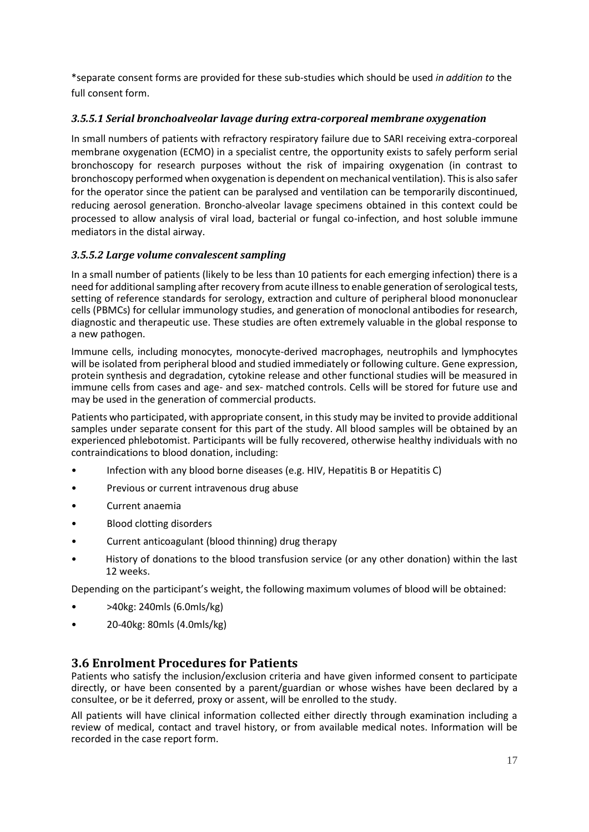\*separate consent forms are provided for these sub-studies which should be used *in addition to* the full consent form.

#### <span id="page-16-0"></span>*3.5.5.1 Serial bronchoalveolar lavage during extra-corporeal membrane oxygenation*

In small numbers of patients with refractory respiratory failure due to SARI receiving extra-corporeal membrane oxygenation (ECMO) in a specialist centre, the opportunity exists to safely perform serial bronchoscopy for research purposes without the risk of impairing oxygenation (in contrast to bronchoscopy performed when oxygenation is dependent on mechanical ventilation). This is also safer for the operator since the patient can be paralysed and ventilation can be temporarily discontinued, reducing aerosol generation. Broncho-alveolar lavage specimens obtained in this context could be processed to allow analysis of viral load, bacterial or fungal co-infection, and host soluble immune mediators in the distal airway.

#### <span id="page-16-1"></span>*3.5.5.2 Large volume convalescent sampling*

In a small number of patients (likely to be less than 10 patients for each emerging infection) there is a need for additional sampling after recovery from acute illness to enable generation of serological tests, setting of reference standards for serology, extraction and culture of peripheral blood mononuclear cells (PBMCs) for cellular immunology studies, and generation of monoclonal antibodies for research, diagnostic and therapeutic use. These studies are often extremely valuable in the global response to a new pathogen.

Immune cells, including monocytes, monocyte-derived macrophages, neutrophils and lymphocytes will be isolated from peripheral blood and studied immediately or following culture. Gene expression, protein synthesis and degradation, cytokine release and other functional studies will be measured in immune cells from cases and age- and sex- matched controls. Cells will be stored for future use and may be used in the generation of commercial products.

Patients who participated, with appropriate consent, in this study may be invited to provide additional samples under separate consent for this part of the study. All blood samples will be obtained by an experienced phlebotomist. Participants will be fully recovered, otherwise healthy individuals with no contraindications to blood donation, including:

- Infection with any blood borne diseases (e.g. HIV, Hepatitis B or Hepatitis C)
- Previous or current intravenous drug abuse
- Current anaemia
- Blood clotting disorders
- Current anticoagulant (blood thinning) drug therapy
- History of donations to the blood transfusion service (or any other donation) within the last 12 weeks.

Depending on the participant's weight, the following maximum volumes of blood will be obtained:

- >40kg: 240mls (6.0mls/kg)
- 20-40kg: 80mls (4.0mls/kg)

### <span id="page-16-2"></span>**3.6 Enrolment Procedures for Patients**

Patients who satisfy the inclusion/exclusion criteria and have given informed consent to participate directly, or have been consented by a parent/guardian or whose wishes have been declared by a consultee, or be it deferred, proxy or assent, will be enrolled to the study.

All patients will have clinical information collected either directly through examination including a review of medical, contact and travel history, or from available medical notes. Information will be recorded in the case report form.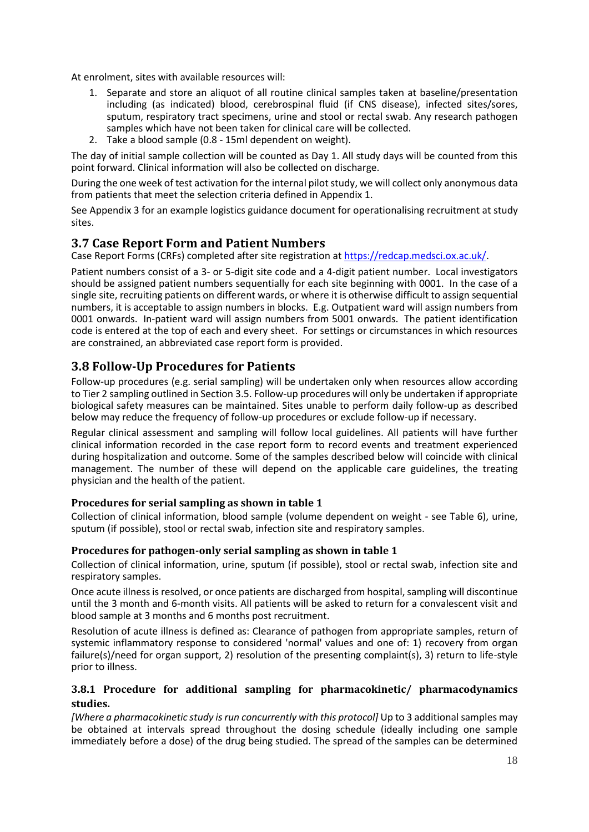At enrolment, sites with available resources will:

- 1. Separate and store an aliquot of all routine clinical samples taken at baseline/presentation including (as indicated) blood, cerebrospinal fluid (if CNS disease), infected sites/sores, sputum, respiratory tract specimens, urine and stool or rectal swab. Any research pathogen samples which have not been taken for clinical care will be collected.
- 2. Take a blood sample (0.8 15ml dependent on weight).

The day of initial sample collection will be counted as Day 1. All study days will be counted from this point forward. Clinical information will also be collected on discharge.

During the one week of test activation for the internal pilot study, we will collect only anonymous data from patients that meet the selection criteria defined in Appendix 1.

See Appendix 3 for an example logistics guidance document for operationalising recruitment at study sites.

### <span id="page-17-0"></span>**3.7 Case Report Form and Patient Numbers**

Case Report Forms (CRFs) completed after site registration at [https://redcap.medsci.ox.ac.uk/.](https://redcap.medsci.ox.ac.uk/)

Patient numbers consist of a 3- or 5-digit site code and a 4-digit patient number. Local investigators should be assigned patient numbers sequentially for each site beginning with 0001. In the case of a single site, recruiting patients on different wards, or where it is otherwise difficult to assign sequential numbers, it is acceptable to assign numbers in blocks. E.g. Outpatient ward will assign numbers from 0001 onwards. In-patient ward will assign numbers from 5001 onwards. The patient identification code is entered at the top of each and every sheet. For settings or circumstances in which resources are constrained, an abbreviated case report form is provided.

## <span id="page-17-1"></span>**3.8 Follow-Up Procedures for Patients**

Follow-up procedures (e.g. serial sampling) will be undertaken only when resources allow according to Tier 2 sampling outlined in Section 3.5. Follow-up procedures will only be undertaken if appropriate biological safety measures can be maintained. Sites unable to perform daily follow-up as described below may reduce the frequency of follow-up procedures or exclude follow-up if necessary.

Regular clinical assessment and sampling will follow local guidelines. All patients will have further clinical information recorded in the case report form to record events and treatment experienced during hospitalization and outcome. Some of the samples described below will coincide with clinical management. The number of these will depend on the applicable care guidelines, the treating physician and the health of the patient.

#### <span id="page-17-2"></span>**Procedures for serial sampling as shown in table 1**

Collection of clinical information, blood sample (volume dependent on weight - see Table 6), urine, sputum (if possible), stool or rectal swab, infection site and respiratory samples.

#### <span id="page-17-3"></span>**Procedures for pathogen-only serial sampling as shown in table 1**

Collection of clinical information, urine, sputum (if possible), stool or rectal swab, infection site and respiratory samples.

Once acute illness is resolved, or once patients are discharged from hospital, sampling will discontinue until the 3 month and 6-month visits. All patients will be asked to return for a convalescent visit and blood sample at 3 months and 6 months post recruitment.

Resolution of acute illness is defined as: Clearance of pathogen from appropriate samples, return of systemic inflammatory response to considered 'normal' values and one of: 1) recovery from organ failure(s)/need for organ support, 2) resolution of the presenting complaint(s), 3) return to life-style prior to illness.

#### <span id="page-17-4"></span>**3.8.1 Procedure for additional sampling for pharmacokinetic/ pharmacodynamics studies.**

*[Where a pharmacokinetic study is run concurrently with this protocol]* Up to 3 additional samples may be obtained at intervals spread throughout the dosing schedule (ideally including one sample immediately before a dose) of the drug being studied. The spread of the samples can be determined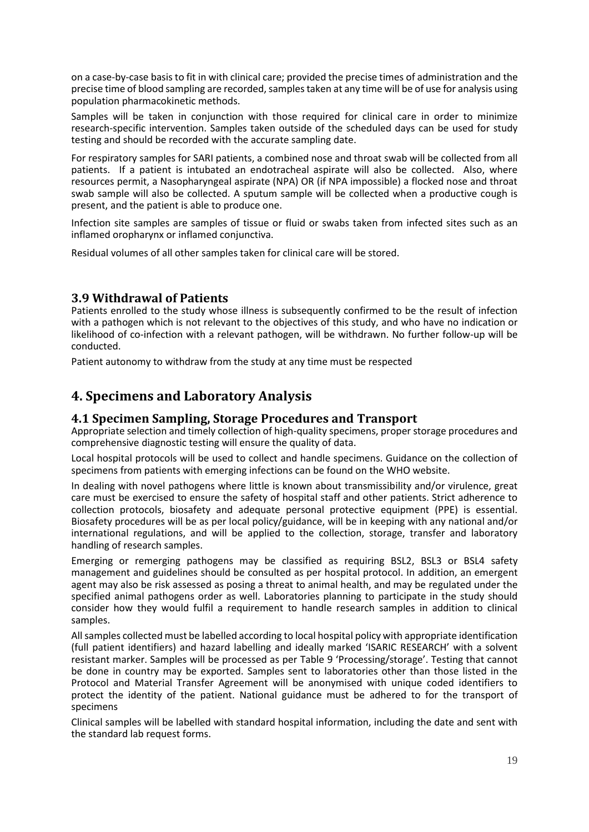on a case-by-case basis to fit in with clinical care; provided the precise times of administration and the precise time of blood sampling are recorded, samples taken at any time will be of use for analysis using population pharmacokinetic methods.

Samples will be taken in conjunction with those required for clinical care in order to minimize research-specific intervention. Samples taken outside of the scheduled days can be used for study testing and should be recorded with the accurate sampling date.

For respiratory samples for SARI patients, a combined nose and throat swab will be collected from all patients. If a patient is intubated an endotracheal aspirate will also be collected. Also, where resources permit, a Nasopharyngeal aspirate (NPA) OR (if NPA impossible) a flocked nose and throat swab sample will also be collected. A sputum sample will be collected when a productive cough is present, and the patient is able to produce one.

Infection site samples are samples of tissue or fluid or swabs taken from infected sites such as an inflamed oropharynx or inflamed conjunctiva.

Residual volumes of all other samples taken for clinical care will be stored.

### <span id="page-18-0"></span>**3.9 Withdrawal of Patients**

Patients enrolled to the study whose illness is subsequently confirmed to be the result of infection with a pathogen which is not relevant to the objectives of this study, and who have no indication or likelihood of co-infection with a relevant pathogen, will be withdrawn. No further follow-up will be conducted.

<span id="page-18-1"></span>Patient autonomy to withdraw from the study at any time must be respected

# **4. Specimens and Laboratory Analysis**

#### <span id="page-18-2"></span>**4.1 Specimen Sampling, Storage Procedures and Transport**

Appropriate selection and timely collection of high-quality specimens, proper storage procedures and comprehensive diagnostic testing will ensure the quality of data.

Local hospital protocols will be used to collect and handle specimens. Guidance on the collection of specimens from patients with emerging infections can be found on the WHO website.

In dealing with novel pathogens where little is known about transmissibility and/or virulence, great care must be exercised to ensure the safety of hospital staff and other patients. Strict adherence to collection protocols, biosafety and adequate personal protective equipment (PPE) is essential. Biosafety procedures will be as per local policy/guidance, will be in keeping with any national and/or international regulations, and will be applied to the collection, storage, transfer and laboratory handling of research samples.

Emerging or remerging pathogens may be classified as requiring BSL2, BSL3 or BSL4 safety management and guidelines should be consulted as per hospital protocol. In addition, an emergent agent may also be risk assessed as posing a threat to animal health, and may be regulated under the specified animal pathogens order as well. Laboratories planning to participate in the study should consider how they would fulfil a requirement to handle research samples in addition to clinical samples.

All samples collected must be labelled according to local hospital policy with appropriate identification (full patient identifiers) and hazard labelling and ideally marked 'ISARIC RESEARCH' with a solvent resistant marker. Samples will be processed as per Table 9 'Processing/storage'. Testing that cannot be done in country may be exported. Samples sent to laboratories other than those listed in the Protocol and Material Transfer Agreement will be anonymised with unique coded identifiers to protect the identity of the patient. National guidance must be adhered to for the transport of specimens

Clinical samples will be labelled with standard hospital information, including the date and sent with the standard lab request forms.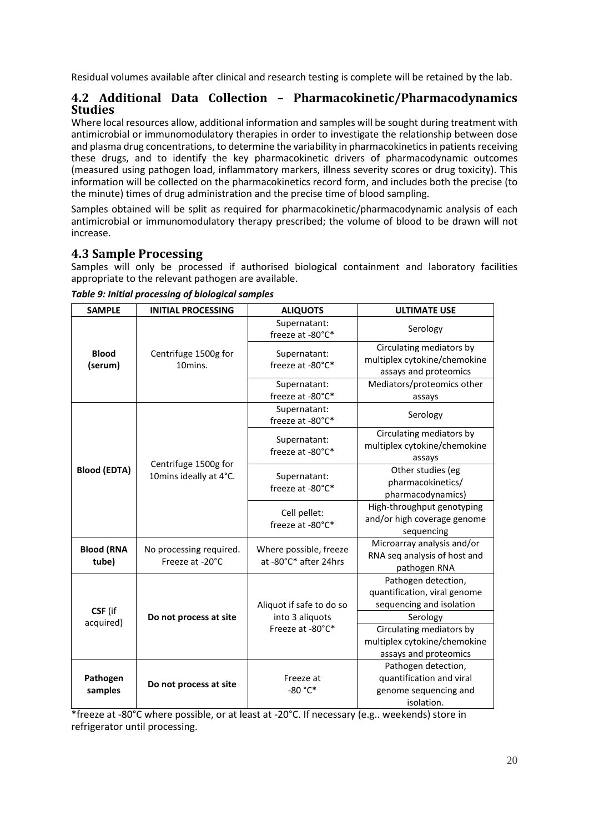Residual volumes available after clinical and research testing is complete will be retained by the lab.

## <span id="page-19-0"></span>**4.2 Additional Data Collection – Pharmacokinetic/Pharmacodynamics Studies**

Where local resources allow, additional information and samples will be sought during treatment with antimicrobial or immunomodulatory therapies in order to investigate the relationship between dose and plasma drug concentrations, to determine the variability in pharmacokinetics in patients receiving these drugs, and to identify the key pharmacokinetic drivers of pharmacodynamic outcomes (measured using pathogen load, inflammatory markers, illness severity scores or drug toxicity). This information will be collected on the pharmacokinetics record form, and includes both the precise (to the minute) times of drug administration and the precise time of blood sampling.

Samples obtained will be split as required for pharmacokinetic/pharmacodynamic analysis of each antimicrobial or immunomodulatory therapy prescribed; the volume of blood to be drawn will not increase.

# <span id="page-19-1"></span>**4.3 Sample Processing**

Samples will only be processed if authorised biological containment and laboratory facilities appropriate to the relevant pathogen are available.

| <b>SAMPLE</b>              | <b>INITIAL PROCESSING</b>                  | <b>ALIQUOTS</b>                                 | <b>ULTIMATE USE</b>                                                                         |
|----------------------------|--------------------------------------------|-------------------------------------------------|---------------------------------------------------------------------------------------------|
|                            |                                            | Supernatant:<br>freeze at -80°C*                | Serology                                                                                    |
| <b>Blood</b><br>(serum)    | Centrifuge 1500g for<br>10mins.            | Supernatant:<br>freeze at -80°C*                | Circulating mediators by<br>multiplex cytokine/chemokine<br>assays and proteomics           |
|                            |                                            | Supernatant:                                    | Mediators/proteomics other                                                                  |
|                            |                                            | freeze at -80°C*                                | assays                                                                                      |
|                            |                                            | Supernatant:<br>freeze at -80°C*                | Serology                                                                                    |
|                            | Centrifuge 1500g for                       | Supernatant:<br>freeze at -80°C*                | Circulating mediators by<br>multiplex cytokine/chemokine<br>assays                          |
| <b>Blood (EDTA)</b>        | 10mins ideally at 4°C.                     | Supernatant:<br>freeze at -80°C*                | Other studies (eg<br>pharmacokinetics/<br>pharmacodynamics)                                 |
|                            |                                            | Cell pellet:<br>freeze at -80°C*                | High-throughput genotyping<br>and/or high coverage genome<br>sequencing                     |
| <b>Blood (RNA</b><br>tube) | No processing required.<br>Freeze at -20°C | Where possible, freeze<br>at -80°C* after 24hrs | Microarray analysis and/or<br>RNA seq analysis of host and<br>pathogen RNA                  |
| CSF (if<br>acquired)       | Do not process at site                     | Aliquot if safe to do so<br>into 3 aliquots     | Pathogen detection,<br>quantification, viral genome<br>sequencing and isolation<br>Serology |
|                            |                                            | Freeze at -80°C*                                | Circulating mediators by<br>multiplex cytokine/chemokine<br>assays and proteomics           |
| Pathogen<br>samples        | Do not process at site                     | Freeze at<br>-80 °C*                            | Pathogen detection,<br>quantification and viral<br>genome sequencing and<br>isolation.      |

*Table 9: Initial processing of biological samples*

\*freeze at -80°C where possible, or at least at -20°C. If necessary (e.g.. weekends) store in refrigerator until processing.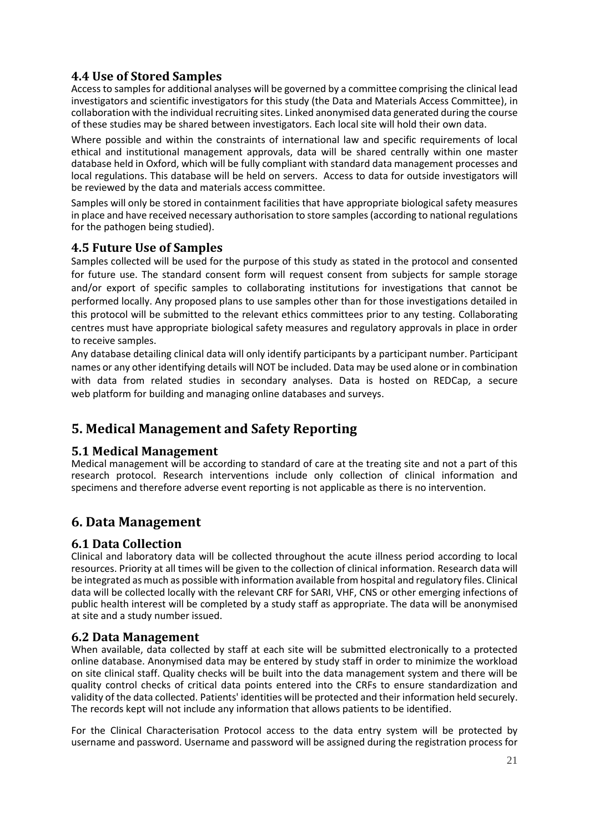# <span id="page-20-0"></span>**4.4 Use of Stored Samples**

Access to samples for additional analyses will be governed by a committee comprising the clinical lead investigators and scientific investigators for this study (the Data and Materials Access Committee), in collaboration with the individual recruiting sites. Linked anonymised data generated during the course of these studies may be shared between investigators. Each local site will hold their own data.

Where possible and within the constraints of international law and specific requirements of local ethical and institutional management approvals, data will be shared centrally within one master database held in Oxford, which will be fully compliant with standard data management processes and local regulations. This database will be held on servers. Access to data for outside investigators will be reviewed by the data and materials access committee.

Samples will only be stored in containment facilities that have appropriate biological safety measures in place and have received necessary authorisation to store samples (according to national regulations for the pathogen being studied).

## <span id="page-20-1"></span>**4.5 Future Use of Samples**

Samples collected will be used for the purpose of this study as stated in the protocol and consented for future use. The standard consent form will request consent from subjects for sample storage and/or export of specific samples to collaborating institutions for investigations that cannot be performed locally. Any proposed plans to use samples other than for those investigations detailed in this protocol will be submitted to the relevant ethics committees prior to any testing. Collaborating centres must have appropriate biological safety measures and regulatory approvals in place in order to receive samples.

Any database detailing clinical data will only identify participants by a participant number. Participant names or any other identifying details will NOT be included. Data may be used alone or in combination with data from related studies in secondary analyses. Data is hosted on REDCap, a secure web platform for building and managing online databases and surveys.

# <span id="page-20-2"></span>**5. Medical Management and Safety Reporting**

### <span id="page-20-3"></span>**5.1 Medical Management**

Medical management will be according to standard of care at the treating site and not a part of this research protocol. Research interventions include only collection of clinical information and specimens and therefore adverse event reporting is not applicable as there is no intervention.

# <span id="page-20-4"></span>**6. Data Management**

### <span id="page-20-5"></span>**6.1 Data Collection**

Clinical and laboratory data will be collected throughout the acute illness period according to local resources. Priority at all times will be given to the collection of clinical information. Research data will be integrated as much as possible with information available from hospital and regulatory files. Clinical data will be collected locally with the relevant CRF for SARI, VHF, CNS or other emerging infections of public health interest will be completed by a study staff as appropriate. The data will be anonymised at site and a study number issued.

#### <span id="page-20-6"></span>**6.2 Data Management**

When available, data collected by staff at each site will be submitted electronically to a protected online database. Anonymised data may be entered by study staff in order to minimize the workload on site clinical staff. Quality checks will be built into the data management system and there will be quality control checks of critical data points entered into the CRFs to ensure standardization and validity of the data collected. Patients' identities will be protected and their information held securely. The records kept will not include any information that allows patients to be identified.

For the Clinical Characterisation Protocol access to the data entry system will be protected by username and password. Username and password will be assigned during the registration process for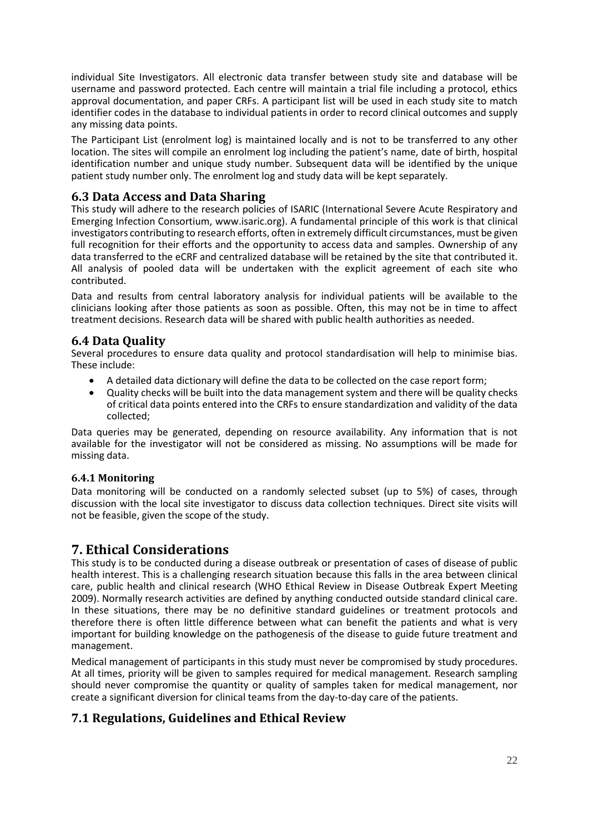individual Site Investigators. All electronic data transfer between study site and database will be username and password protected. Each centre will maintain a trial file including a protocol, ethics approval documentation, and paper CRFs. A participant list will be used in each study site to match identifier codes in the database to individual patients in order to record clinical outcomes and supply any missing data points.

The Participant List (enrolment log) is maintained locally and is not to be transferred to any other location. The sites will compile an enrolment log including the patient's name, date of birth, hospital identification number and unique study number. Subsequent data will be identified by the unique patient study number only. The enrolment log and study data will be kept separately.

## <span id="page-21-0"></span>**6.3 Data Access and Data Sharing**

This study will adhere to the research policies of ISARIC (International Severe Acute Respiratory and Emerging Infection Consortium, www.isaric.org). A fundamental principle of this work is that clinical investigators contributing to research efforts, often in extremely difficult circumstances, must be given full recognition for their efforts and the opportunity to access data and samples. Ownership of any data transferred to the eCRF and centralized database will be retained by the site that contributed it. All analysis of pooled data will be undertaken with the explicit agreement of each site who contributed.

Data and results from central laboratory analysis for individual patients will be available to the clinicians looking after those patients as soon as possible. Often, this may not be in time to affect treatment decisions. Research data will be shared with public health authorities as needed.

## <span id="page-21-1"></span>**6.4 Data Quality**

Several procedures to ensure data quality and protocol standardisation will help to minimise bias. These include:

- A detailed data dictionary will define the data to be collected on the case report form;
- Quality checks will be built into the data management system and there will be quality checks of critical data points entered into the CRFs to ensure standardization and validity of the data collected;

Data queries may be generated, depending on resource availability. Any information that is not available for the investigator will not be considered as missing. No assumptions will be made for missing data.

#### <span id="page-21-2"></span>**6.4.1 Monitoring**

Data monitoring will be conducted on a randomly selected subset (up to 5%) of cases, through discussion with the local site investigator to discuss data collection techniques. Direct site visits will not be feasible, given the scope of the study.

# <span id="page-21-3"></span>**7. Ethical Considerations**

This study is to be conducted during a disease outbreak or presentation of cases of disease of public health interest. This is a challenging research situation because this falls in the area between clinical care, public health and clinical research (WHO Ethical Review in Disease Outbreak Expert Meeting 2009). Normally research activities are defined by anything conducted outside standard clinical care. In these situations, there may be no definitive standard guidelines or treatment protocols and therefore there is often little difference between what can benefit the patients and what is very important for building knowledge on the pathogenesis of the disease to guide future treatment and management.

Medical management of participants in this study must never be compromised by study procedures. At all times, priority will be given to samples required for medical management. Research sampling should never compromise the quantity or quality of samples taken for medical management, nor create a significant diversion for clinical teams from the day-to-day care of the patients.

# <span id="page-21-4"></span>**7.1 Regulations, Guidelines and Ethical Review**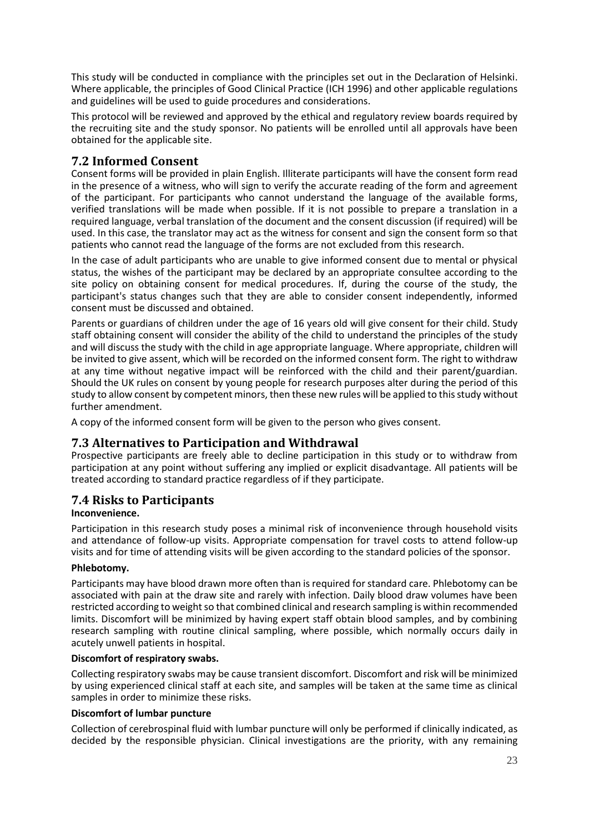This study will be conducted in compliance with the principles set out in the Declaration of Helsinki. Where applicable, the principles of Good Clinical Practice (ICH 1996) and other applicable regulations and guidelines will be used to guide procedures and considerations.

This protocol will be reviewed and approved by the ethical and regulatory review boards required by the recruiting site and the study sponsor. No patients will be enrolled until all approvals have been obtained for the applicable site.

# <span id="page-22-0"></span>**7.2 Informed Consent**

Consent forms will be provided in plain English. Illiterate participants will have the consent form read in the presence of a witness, who will sign to verify the accurate reading of the form and agreement of the participant. For participants who cannot understand the language of the available forms, verified translations will be made when possible. If it is not possible to prepare a translation in a required language, verbal translation of the document and the consent discussion (if required) will be used. In this case, the translator may act as the witness for consent and sign the consent form so that patients who cannot read the language of the forms are not excluded from this research.

In the case of adult participants who are unable to give informed consent due to mental or physical status, the wishes of the participant may be declared by an appropriate consultee according to the site policy on obtaining consent for medical procedures. If, during the course of the study, the participant's status changes such that they are able to consider consent independently, informed consent must be discussed and obtained.

Parents or guardians of children under the age of 16 years old will give consent for their child. Study staff obtaining consent will consider the ability of the child to understand the principles of the study and will discuss the study with the child in age appropriate language. Where appropriate, children will be invited to give assent, which will be recorded on the informed consent form. The right to withdraw at any time without negative impact will be reinforced with the child and their parent/guardian. Should the UK rules on consent by young people for research purposes alter during the period of this study to allow consent by competent minors, then these new rules will be applied to this study without further amendment.

A copy of the informed consent form will be given to the person who gives consent.

### <span id="page-22-1"></span>**7.3 Alternatives to Participation and Withdrawal**

Prospective participants are freely able to decline participation in this study or to withdraw from participation at any point without suffering any implied or explicit disadvantage. All patients will be treated according to standard practice regardless of if they participate.

### <span id="page-22-2"></span>**7.4 Risks to Participants**

#### <span id="page-22-3"></span>**Inconvenience.**

Participation in this research study poses a minimal risk of inconvenience through household visits and attendance of follow-up visits. Appropriate compensation for travel costs to attend follow-up visits and for time of attending visits will be given according to the standard policies of the sponsor.

#### <span id="page-22-4"></span>**Phlebotomy.**

Participants may have blood drawn more often than is required for standard care. Phlebotomy can be associated with pain at the draw site and rarely with infection. Daily blood draw volumes have been restricted according to weight so that combined clinical and research sampling is within recommended limits. Discomfort will be minimized by having expert staff obtain blood samples, and by combining research sampling with routine clinical sampling, where possible, which normally occurs daily in acutely unwell patients in hospital.

#### <span id="page-22-5"></span>**Discomfort of respiratory swabs.**

Collecting respiratory swabs may be cause transient discomfort. Discomfort and risk will be minimized by using experienced clinical staff at each site, and samples will be taken at the same time as clinical samples in order to minimize these risks.

#### **Discomfort of lumbar puncture**

Collection of cerebrospinal fluid with lumbar puncture will only be performed if clinically indicated, as decided by the responsible physician. Clinical investigations are the priority, with any remaining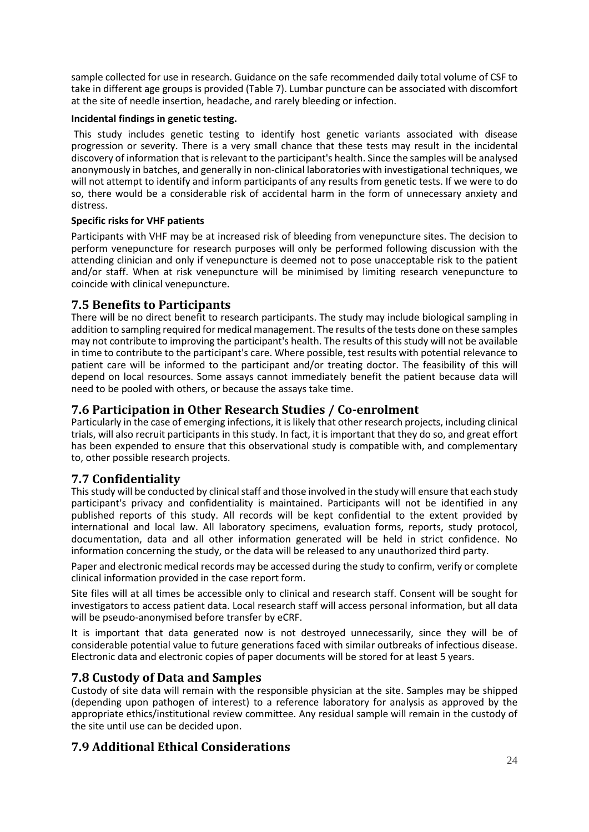sample collected for use in research. Guidance on the safe recommended daily total volume of CSF to take in different age groups is provided (Table 7). Lumbar puncture can be associated with discomfort at the site of needle insertion, headache, and rarely bleeding or infection.

#### <span id="page-23-0"></span>**Incidental findings in genetic testing.**

This study includes genetic testing to identify host genetic variants associated with disease progression or severity. There is a very small chance that these tests may result in the incidental discovery of information that is relevant to the participant's health. Since the samples will be analysed anonymously in batches, and generally in non-clinical laboratories with investigational techniques, we will not attempt to identify and inform participants of any results from genetic tests. If we were to do so, there would be a considerable risk of accidental harm in the form of unnecessary anxiety and distress.

#### **Specific risks for VHF patients**

Participants with VHF may be at increased risk of bleeding from venepuncture sites. The decision to perform venepuncture for research purposes will only be performed following discussion with the attending clinician and only if venepuncture is deemed not to pose unacceptable risk to the patient and/or staff. When at risk venepuncture will be minimised by limiting research venepuncture to coincide with clinical venepuncture.

### <span id="page-23-1"></span>**7.5 Benefits to Participants**

There will be no direct benefit to research participants. The study may include biological sampling in addition to sampling required for medical management. The results of the tests done on these samples may not contribute to improving the participant's health. The results of this study will not be available in time to contribute to the participant's care. Where possible, test results with potential relevance to patient care will be informed to the participant and/or treating doctor. The feasibility of this will depend on local resources. Some assays cannot immediately benefit the patient because data will need to be pooled with others, or because the assays take time.

### <span id="page-23-2"></span>**7.6 Participation in Other Research Studies / Co-enrolment**

Particularly in the case of emerging infections, it is likely that other research projects, including clinical trials, will also recruit participants in this study. In fact, it is important that they do so, and great effort has been expended to ensure that this observational study is compatible with, and complementary to, other possible research projects.

# <span id="page-23-3"></span>**7.7 Confidentiality**

This study will be conducted by clinical staff and those involved in the study will ensure that each study participant's privacy and confidentiality is maintained. Participants will not be identified in any published reports of this study. All records will be kept confidential to the extent provided by international and local law. All laboratory specimens, evaluation forms, reports, study protocol, documentation, data and all other information generated will be held in strict confidence. No information concerning the study, or the data will be released to any unauthorized third party.

Paper and electronic medical records may be accessed during the study to confirm, verify or complete clinical information provided in the case report form.

Site files will at all times be accessible only to clinical and research staff. Consent will be sought for investigators to access patient data. Local research staff will access personal information, but all data will be pseudo-anonymised before transfer by eCRF.

It is important that data generated now is not destroyed unnecessarily, since they will be of considerable potential value to future generations faced with similar outbreaks of infectious disease. Electronic data and electronic copies of paper documents will be stored for at least 5 years.

### <span id="page-23-4"></span>**7.8 Custody of Data and Samples**

Custody of site data will remain with the responsible physician at the site. Samples may be shipped (depending upon pathogen of interest) to a reference laboratory for analysis as approved by the appropriate ethics/institutional review committee. Any residual sample will remain in the custody of the site until use can be decided upon.

# <span id="page-23-5"></span>**7.9 Additional Ethical Considerations**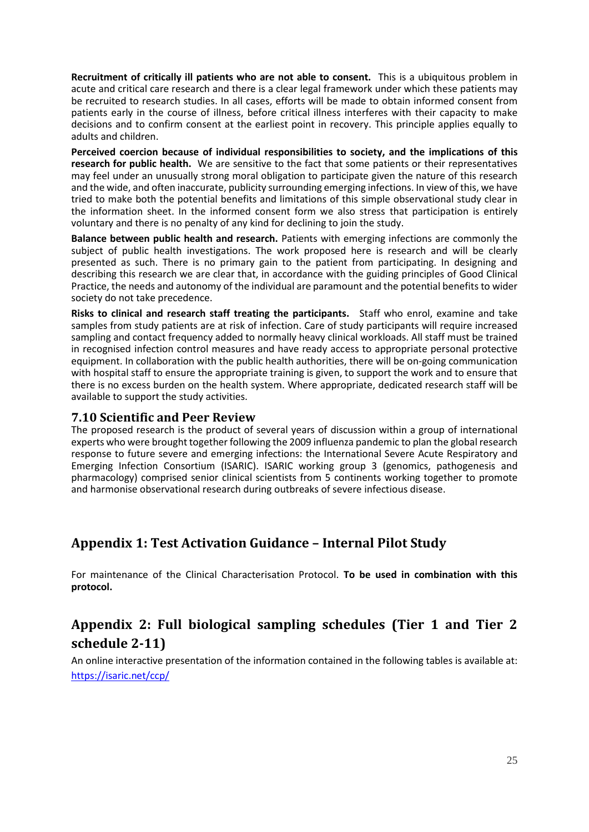**Recruitment of critically ill patients who are not able to consent.** This is a ubiquitous problem in acute and critical care research and there is a clear legal framework under which these patients may be recruited to research studies. In all cases, efforts will be made to obtain informed consent from patients early in the course of illness, before critical illness interferes with their capacity to make decisions and to confirm consent at the earliest point in recovery. This principle applies equally to adults and children.

**Perceived coercion because of individual responsibilities to society, and the implications of this research for public health.** We are sensitive to the fact that some patients or their representatives may feel under an unusually strong moral obligation to participate given the nature of this research and the wide, and often inaccurate, publicity surrounding emerging infections. In view of this, we have tried to make both the potential benefits and limitations of this simple observational study clear in the information sheet. In the informed consent form we also stress that participation is entirely voluntary and there is no penalty of any kind for declining to join the study.

**Balance between public health and research.** Patients with emerging infections are commonly the subject of public health investigations. The work proposed here is research and will be clearly presented as such. There is no primary gain to the patient from participating. In designing and describing this research we are clear that, in accordance with the guiding principles of Good Clinical Practice, the needs and autonomy of the individual are paramount and the potential benefits to wider society do not take precedence.

**Risks to clinical and research staff treating the participants.** Staff who enrol, examine and take samples from study patients are at risk of infection. Care of study participants will require increased sampling and contact frequency added to normally heavy clinical workloads. All staff must be trained in recognised infection control measures and have ready access to appropriate personal protective equipment. In collaboration with the public health authorities, there will be on-going communication with hospital staff to ensure the appropriate training is given, to support the work and to ensure that there is no excess burden on the health system. Where appropriate, dedicated research staff will be available to support the study activities.

#### <span id="page-24-0"></span>**7.10 Scientific and Peer Review**

The proposed research is the product of several years of discussion within a group of international experts who were brought together following the 2009 influenza pandemic to plan the global research response to future severe and emerging infections: the International Severe Acute Respiratory and Emerging Infection Consortium (ISARIC). ISARIC working group 3 (genomics, pathogenesis and pharmacology) comprised senior clinical scientists from 5 continents working together to promote and harmonise observational research during outbreaks of severe infectious disease.

# <span id="page-24-1"></span>**Appendix 1: Test Activation Guidance – Internal Pilot Study**

For maintenance of the Clinical Characterisation Protocol. **To be used in combination with this protocol.**

# <span id="page-24-2"></span>**Appendix 2: Full biological sampling schedules (Tier 1 and Tier 2 schedule 2-11)**

An online interactive presentation of the information contained in the following tables is available at: <https://isaric.net/ccp/>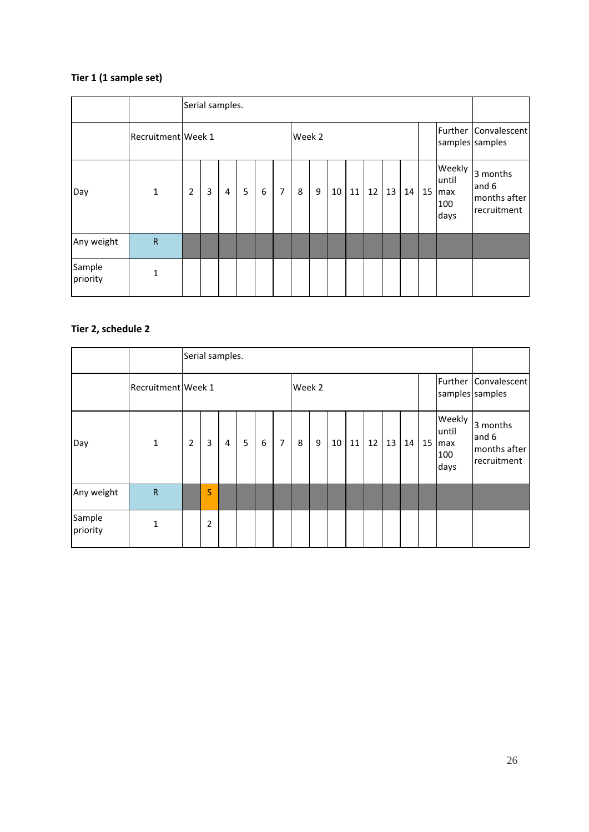# **Tier 1 (1 sample set)**

|                    |                    |                |   | Serial samples. |   |   |                |        |   |    |    |    |    |    |    |                                        |                                                  |
|--------------------|--------------------|----------------|---|-----------------|---|---|----------------|--------|---|----|----|----|----|----|----|----------------------------------------|--------------------------------------------------|
|                    | Recruitment Week 1 |                |   |                 |   |   |                | Week 2 |   |    |    |    |    |    |    | samples samples                        | Further Convalescent                             |
| Day                | $\mathbf{1}$       | $\overline{2}$ | 3 | 4               | 5 | 6 | $\overline{7}$ | 8      | 9 | 10 | 11 | 12 | 13 | 14 | 15 | Weekly<br>luntil<br>max<br>100<br>days | 3 months<br>and 6<br>months after<br>recruitment |
| Any weight         | $\mathsf{R}$       |                |   |                 |   |   |                |        |   |    |    |    |    |    |    |                                        |                                                  |
| Sample<br>priority | $\mathbf{1}$       |                |   |                 |   |   |                |        |   |    |    |    |    |    |    |                                        |                                                  |

|                    |                    | Serial samples. |                |   |   |   |   |        |   |    |    |    |    |    |    |                                        |                                                  |
|--------------------|--------------------|-----------------|----------------|---|---|---|---|--------|---|----|----|----|----|----|----|----------------------------------------|--------------------------------------------------|
|                    | Recruitment Week 1 |                 |                |   |   |   |   | Week 2 |   |    |    |    |    |    |    | samples samples                        | Further Convalescent                             |
| Day                | $\mathbf{1}$       | $\overline{2}$  | 3              | 4 | 5 | 6 | 7 | 8      | 9 | 10 | 11 | 12 | 13 | 14 | 15 | Weekly<br>luntil<br>max<br>100<br>days | 3 months<br>and 6<br>months after<br>recruitment |
| Any weight         | $\mathsf{R}$       |                 | S              |   |   |   |   |        |   |    |    |    |    |    |    |                                        |                                                  |
| Sample<br>priority | 1                  |                 | $\overline{2}$ |   |   |   |   |        |   |    |    |    |    |    |    |                                        |                                                  |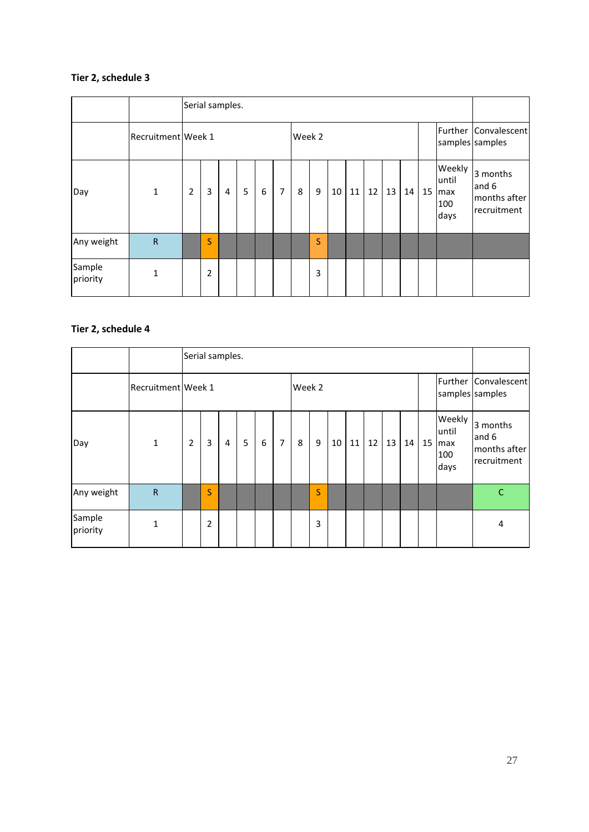|                    |                    |                | Serial samples. |   |   |   |                |        |   |    |    |    |    |    |    |                                        |                                                   |
|--------------------|--------------------|----------------|-----------------|---|---|---|----------------|--------|---|----|----|----|----|----|----|----------------------------------------|---------------------------------------------------|
|                    | Recruitment Week 1 |                |                 |   |   |   |                | Week 2 |   |    |    |    |    |    |    |                                        | Further Convalescent<br>samples samples           |
| Day                | $\mathbf{1}$       | $\overline{2}$ | 3               | 4 | 5 | 6 | $\overline{7}$ | 8      | 9 | 10 | 11 | 12 | 13 | 14 | 15 | Weekly<br>luntil<br>max<br>100<br>days | 3 months<br>and 6<br>months after<br>Irecruitment |
| Any weight         | $\mathsf{R}$       |                | S               |   |   |   |                |        | S |    |    |    |    |    |    |                                        |                                                   |
| Sample<br>priority | 1                  |                | 2               |   |   |   |                |        | 3 |    |    |    |    |    |    |                                        |                                                   |

|                    |                    |                |   | Serial samples. |   |   |                |        |   |    |    |    |    |    |    |                                       |                                                  |
|--------------------|--------------------|----------------|---|-----------------|---|---|----------------|--------|---|----|----|----|----|----|----|---------------------------------------|--------------------------------------------------|
|                    | Recruitment Week 1 |                |   |                 |   |   |                | Week 2 |   |    |    |    |    |    |    |                                       | Further Convalescent<br>samples samples          |
| Day                | $\mathbf 1$        | $\overline{2}$ | 3 | 4               | 5 | 6 | $\overline{7}$ | 8      | 9 | 10 | 11 | 12 | 13 | 14 | 15 | Weekly<br>until<br>max<br>100<br>days | 3 months<br>and 6<br>months after<br>recruitment |
| Any weight         | $\mathsf{R}$       |                | S |                 |   |   |                |        | S |    |    |    |    |    |    |                                       | $\mathsf{C}$                                     |
| Sample<br>priority | 1                  |                | 2 |                 |   |   |                |        | 3 |    |    |    |    |    |    |                                       | 4                                                |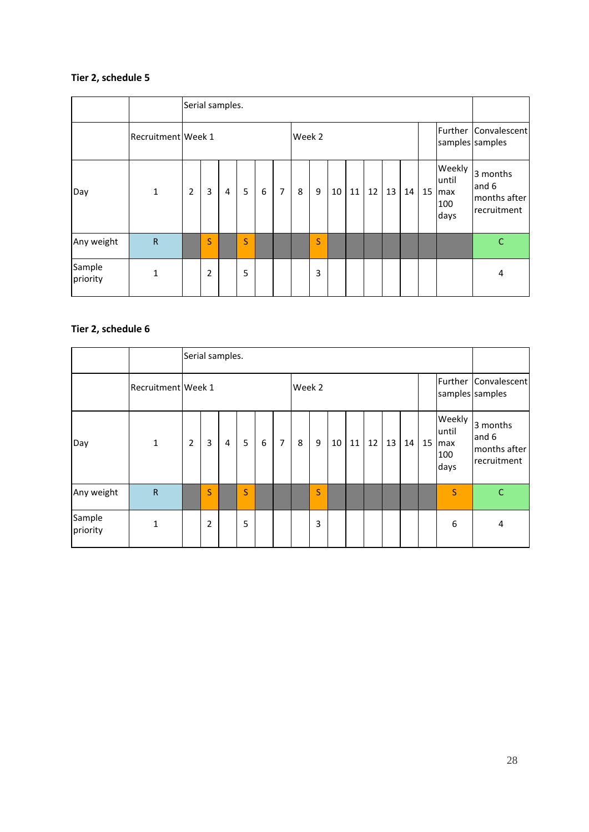|                    |                    |                |                | Serial samples. |                         |   |                |        |   |    |    |    |    |    |    |                                       |                                                  |
|--------------------|--------------------|----------------|----------------|-----------------|-------------------------|---|----------------|--------|---|----|----|----|----|----|----|---------------------------------------|--------------------------------------------------|
|                    | Recruitment Week 1 |                |                |                 |                         |   |                | Week 2 |   |    |    |    |    |    |    |                                       | Further Convalescent<br>samples samples          |
| Day                | $\mathbf{1}$       | $\overline{2}$ | $\overline{3}$ | 4               | 5                       | 6 | $\overline{7}$ | 8      | 9 | 10 | 11 | 12 | 13 | 14 | 15 | Weekly<br>until<br>max<br>100<br>days | 3 months<br>and 6<br>months after<br>recruitment |
| Any weight         | $\mathsf{R}$       |                | S              |                 | $\overline{\mathsf{S}}$ |   |                |        | S |    |    |    |    |    |    |                                       | $\mathsf{C}$                                     |
| Sample<br>priority | $\mathbf{1}$       |                | $\overline{2}$ |                 | 5                       |   |                |        | 3 |    |    |    |    |    |    |                                       | 4                                                |

|                    |                    |   |   | Serial samples. |   |   |                |        |   |    |    |    |    |    |    |                                        |                                                  |
|--------------------|--------------------|---|---|-----------------|---|---|----------------|--------|---|----|----|----|----|----|----|----------------------------------------|--------------------------------------------------|
|                    | Recruitment Week 1 |   |   |                 |   |   |                | Week 2 |   |    |    |    |    |    |    | samples samples                        | Further Convalescent                             |
| Day                | $\mathbf{1}$       | 2 | 3 | 4               | 5 | 6 | $\overline{7}$ | 8      | 9 | 10 | 11 | 12 | 13 | 14 | 15 | Weekly<br>luntil<br>max<br>100<br>days | 3 months<br>and 6<br>months after<br>recruitment |
| Any weight         | $\mathsf{R}$       |   | S |                 | S |   |                |        | S |    |    |    |    |    |    | S                                      | $\mathsf{C}$                                     |
| Sample<br>priority | $\mathbf{1}$       |   | 2 |                 | 5 |   |                |        | 3 |    |    |    |    |    |    | 6                                      | 4                                                |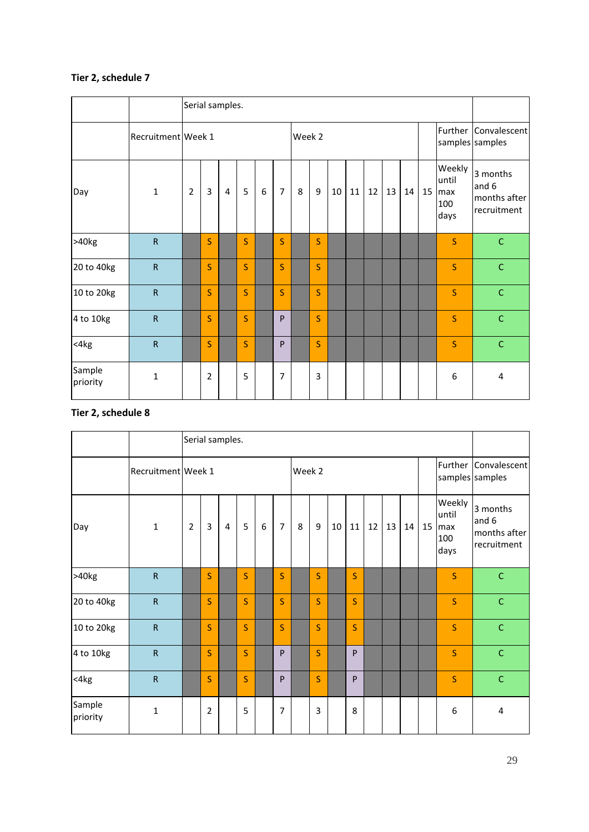|                    |                    |                |                | Serial samples. |   |   |                |        |   |    |    |    |    |    |    |                                       |                                                  |
|--------------------|--------------------|----------------|----------------|-----------------|---|---|----------------|--------|---|----|----|----|----|----|----|---------------------------------------|--------------------------------------------------|
|                    | Recruitment Week 1 |                |                |                 |   |   |                | Week 2 |   |    |    |    |    |    |    |                                       | Further Convalescent<br>samples samples          |
| Day                | $\mathbf 1$        | $\overline{2}$ | 3              | $\overline{4}$  | 5 | 6 | $\overline{7}$ | 8      | 9 | 10 | 11 | 12 | 13 | 14 | 15 | Weekly<br>until<br>max<br>100<br>days | 3 months<br>and 6<br>months after<br>recruitment |
| >40kg              | $\mathsf{R}$       |                | S              |                 | S |   | S              |        | S |    |    |    |    |    |    | S.                                    | $\mathsf C$                                      |
| 20 to 40kg         | ${\sf R}$          |                | S              |                 | S |   | S              |        | S |    |    |    |    |    |    | S                                     | $\mathsf{C}$                                     |
| 10 to 20kg         | ${\sf R}$          |                | S              |                 | S |   | S              |        | S |    |    |    |    |    |    | <sub>S</sub>                          | $\mathsf C$                                      |
| 4 to 10kg          | ${\sf R}$          |                | S              |                 | S |   | P              |        | S |    |    |    |    |    |    | S                                     | $\mathsf C$                                      |
| <4kg               | $\mathsf{R}$       |                | S              |                 | S |   | P              |        | S |    |    |    |    |    |    | S                                     | $\mathsf C$                                      |
| Sample<br>priority | $\mathbf{1}$       |                | $\overline{2}$ |                 | 5 |   | 7              |        | 3 |    |    |    |    |    |    | 6                                     | 4                                                |

|                    |                         | Serial samples. |                |                |         |   |                |        |   |    |    |    |    |    |    |                                       |                                                  |
|--------------------|-------------------------|-----------------|----------------|----------------|---------|---|----------------|--------|---|----|----|----|----|----|----|---------------------------------------|--------------------------------------------------|
|                    | Recruitment Week 1      |                 |                |                |         |   |                | Week 2 |   |    |    |    |    |    |    |                                       | Further Convalescent<br>samples samples          |
| Day                | $\mathbf{1}$            | $\overline{2}$  | $\overline{3}$ | $\overline{4}$ | 5       | 6 | $\overline{7}$ | 8      | 9 | 10 | 11 | 12 | 13 | 14 | 15 | Weekly<br>until<br>max<br>100<br>days | 3 months<br>and 6<br>months after<br>recruitment |
| >40kg              | $\mathsf{R}$            |                 | S              |                | S       |   | S              |        | S |    | S  |    |    |    |    | S                                     | $\mathsf C$                                      |
| 20 to 40kg         | $\overline{\mathsf{R}}$ |                 | S              |                | S       |   | S              |        | S |    | S  |    |    |    |    | S                                     | $\mathsf C$                                      |
| 10 to 20kg         | $\mathsf{R}$            |                 | S              |                | S       |   | S              |        | S |    | S  |    |    |    |    | S                                     | $\mathsf C$                                      |
| 4 to 10kg          | ${\sf R}$               |                 | S              |                | S       |   | P              |        | S |    | P  |    |    |    |    | S                                     | $\mathsf{C}$                                     |
| $<$ 4 $kg$         | ${\sf R}$               |                 | $\mathsf{S}$   |                | $\sf S$ |   | P              |        | S |    | P  |    |    |    |    | S                                     | $\mathsf C$                                      |
| Sample<br>priority | $\mathbf{1}$            |                 | $\overline{2}$ |                | 5       |   | $\overline{7}$ |        | 3 |    | 8  |    |    |    |    | 6                                     | 4                                                |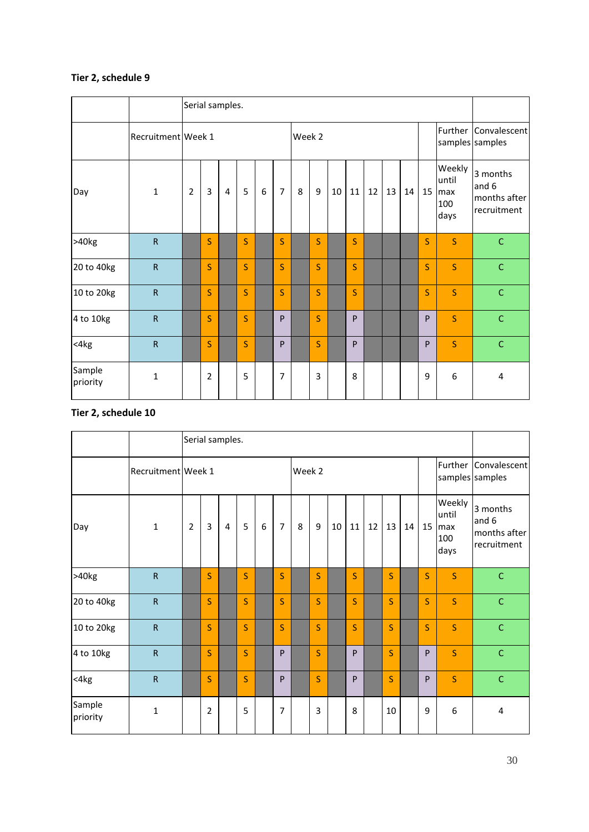|                    |                         |                | Serial samples. |                |   |   |                |   |        |    |    |    |    |    |                                         |                                       |                                                  |
|--------------------|-------------------------|----------------|-----------------|----------------|---|---|----------------|---|--------|----|----|----|----|----|-----------------------------------------|---------------------------------------|--------------------------------------------------|
|                    | Recruitment Week 1      |                |                 |                |   |   |                |   | Week 2 |    |    |    |    |    | Further Convalescent<br>samples samples |                                       |                                                  |
| Day                | $\mathbf 1$             | $\overline{2}$ | 3               | $\overline{4}$ | 5 | 6 | $\overline{7}$ | 8 | 9      | 10 | 11 | 12 | 13 | 14 | 15                                      | Weekly<br>until<br>max<br>100<br>days | 3 months<br>and 6<br>months after<br>recruitment |
| >40kg              | ${\sf R}$               |                | S               |                | S |   | S              |   | S      |    | S  |    |    |    | $\mathsf{S}$                            | S.                                    | $\mathsf C$                                      |
| 20 to 40kg         | $\mathsf{R}$            |                | S               |                | S |   | S              |   | S      |    | S  |    |    |    | $\mathsf{S}$                            | <sub>S</sub>                          | $\mathsf C$                                      |
| 10 to 20kg         | $\overline{\mathsf{R}}$ |                | S               |                | S |   | S              |   | S      |    | S  |    |    |    | $\overline{\mathsf{S}}$                 | <sub>S</sub>                          | $\mathsf C$                                      |
| 4 to 10kg          | $\mathsf{R}$            |                | S               |                | S |   | P              |   | S      |    | P  |    |    |    | P                                       | <sub>S</sub>                          | $\mathsf C$                                      |
| $<$ 4 $kg$         | $\mathsf{R}$            |                | S               |                | S |   | P              |   | S      |    | P  |    |    |    | P                                       | S                                     | $\mathsf C$                                      |
| Sample<br>priority | $\mathbf 1$             |                | $\overline{2}$  |                | 5 |   | $\overline{7}$ |   | 3      |    | 8  |    |    |    | 9                                       | 6                                     | 4                                                |

|                    |                         |                | Serial samples. |                |         |   |                |   |        |    |    |    |    |    |                                         |                                       |                                                  |
|--------------------|-------------------------|----------------|-----------------|----------------|---------|---|----------------|---|--------|----|----|----|----|----|-----------------------------------------|---------------------------------------|--------------------------------------------------|
|                    | Recruitment Week 1      |                |                 |                |         |   |                |   | Week 2 |    |    |    |    |    | Further Convalescent<br>samples samples |                                       |                                                  |
| Day                | $\mathbf{1}$            | $\overline{2}$ | $\overline{3}$  | $\overline{4}$ | 5       | 6 | $\overline{7}$ | 8 | 9      | 10 | 11 | 12 | 13 | 14 | 15                                      | Weekly<br>until<br>max<br>100<br>days | 3 months<br>and 6<br>months after<br>recruitment |
| >40kg              | $\mathsf{R}$            |                | S               |                | S       |   | S              |   | S      |    | S  |    | S  |    | S.                                      | S                                     | $\mathsf C$                                      |
| 20 to 40kg         | $\overline{\mathsf{R}}$ |                | S               |                | S       |   | S              |   | S      |    | S  |    | S  |    | $\overline{\mathsf{S}}$                 | S                                     | $\mathsf C$                                      |
| 10 to 20kg         | $\mathsf{R}$            |                | S               |                | S       |   | S              |   | S      |    | S  |    | S  |    | S                                       | S                                     | $\mathsf C$                                      |
| 4 to 10kg          | ${\sf R}$               |                | S               |                | S       |   | P              |   | S      |    | P  |    | S  |    | ${\sf P}$                               | S                                     | $\mathsf{C}$                                     |
| $<$ 4 $kg$         | ${\sf R}$               |                | $\mathsf{S}$    |                | $\sf S$ |   | P              |   | S      |    | P  |    | S  |    | P                                       | S                                     | $\mathsf{C}$                                     |
| Sample<br>priority | $\mathbf{1}$            |                | $\overline{2}$  |                | 5       |   | 7              |   | 3      |    | 8  |    | 10 |    | 9                                       | 6                                     | 4                                                |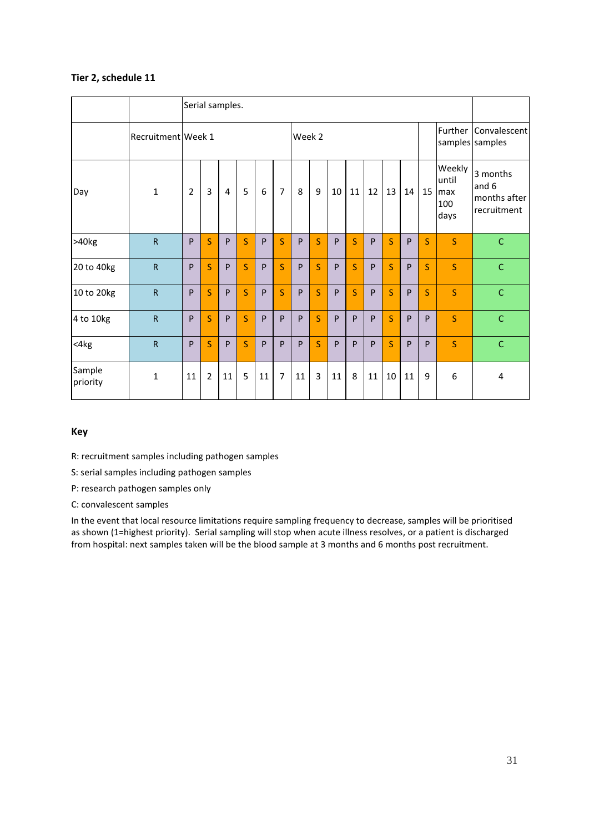|                    |                    |                | Serial samples. |                |   |    |                |    |        |    |         |    |              |    |                                         |                                       |                                                  |
|--------------------|--------------------|----------------|-----------------|----------------|---|----|----------------|----|--------|----|---------|----|--------------|----|-----------------------------------------|---------------------------------------|--------------------------------------------------|
|                    | Recruitment Week 1 |                |                 |                |   |    |                |    | Week 2 |    |         |    |              |    | Further Convalescent<br>samples samples |                                       |                                                  |
| Day                | $\mathbf{1}$       | $\overline{2}$ | 3               | $\overline{4}$ | 5 | 6  | $\overline{7}$ | 8  | 9      | 10 | 11      | 12 | 13           | 14 | 15                                      | Weekly<br>until<br>max<br>100<br>days | 3 months<br>and 6<br>months after<br>recruitment |
| >40kg              | ${\sf R}$          | P              | S               | P              | S | P  | S              | P  | S      | P  | $\sf S$ | P  | S            | P  | $\mathsf{S}$                            | S.                                    | $\mathsf{C}$                                     |
| 20 to 40kg         | $\mathsf{R}$       | P              | S               | P              | S | P  | S              | P  | S      | P  | S       | P  | S            | P  | $\mathsf{S}$                            | S                                     | $\mathsf C$                                      |
| 10 to 20kg         | ${\sf R}$          | P              | S               | P              | S | P  | S              | P  | S      | P  | S       | P  | S            | P  | $\overline{\mathsf{S}}$                 | S                                     | $\mathsf C$                                      |
| 4 to 10kg          | $\mathsf{R}$       | P              | S               | P              | S | P  | P              | P  | S.     | P  | P       | P  | S            | P  | P                                       | S                                     | $\mathsf{C}$                                     |
| $<$ 4 $kg$         | $\mathsf{R}$       | P              | S               | P              | S | P  | $\mathsf{P}$   | P  | S      | P  | P       | P  | <sub>S</sub> | P  | P                                       | S                                     | $\mathsf{C}$                                     |
| Sample<br>priority | $\mathbf{1}$       | 11             | $\overline{2}$  | 11             | 5 | 11 | $\overline{7}$ | 11 | 3      | 11 | 8       | 11 | 10           | 11 | 9                                       | 6                                     | 4                                                |

#### **Key**

R: recruitment samples including pathogen samples

S: serial samples including pathogen samples

P: research pathogen samples only

C: convalescent samples

In the event that local resource limitations require sampling frequency to decrease, samples will be prioritised as shown (1=highest priority). Serial sampling will stop when acute illness resolves, or a patient is discharged from hospital: next samples taken will be the blood sample at 3 months and 6 months post recruitment.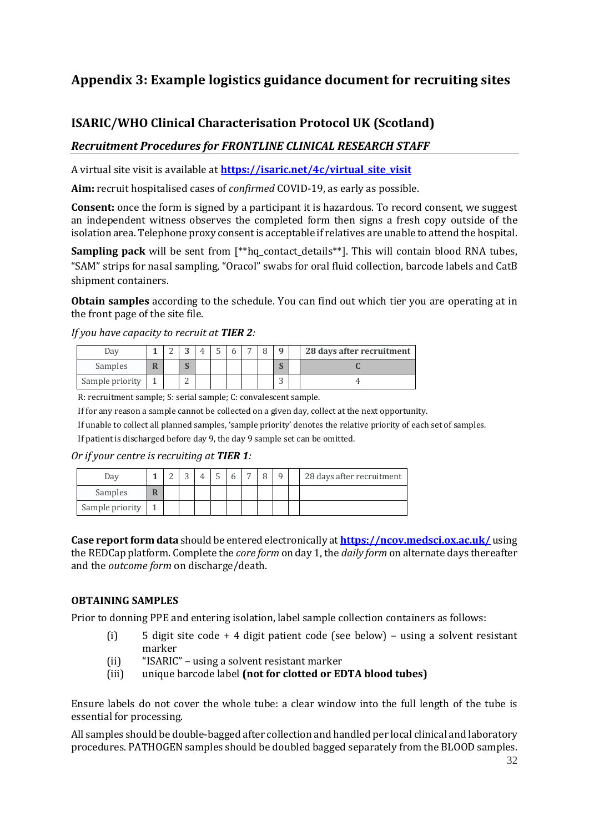# <span id="page-31-0"></span>**Appendix 3: Example logistics guidance document for recruiting sites**

# **ISARIC/WHO Clinical Characterisation Protocol UK (Scotland)**

## *Recruitment Procedures for FRONTLINE CLINICAL RESEARCH STAFF*

A virtual site visit is available at **[https://isaric.net/4c/virtual\\_site\\_visit](https://isaric.net/4c/virtual_site_visit)**

**Aim:** recruit hospitalised cases of *confirmed* COVID-19, as early as possible.

**Consent:** once the form is signed by a participant it is hazardous. To record consent, we suggest an independent witness observes the completed form then signs a fresh copy outside of the isolation area. Telephone proxy consent is acceptable if relatives are unable to attend the hospital.

**Sampling pack** will be sent from [\*\*hq\_contact\_details\*\*]. This will contain blood RNA tubes, "SAM" strips for nasal sampling, "Oracol" swabs for oral fluid collection, barcode labels and CatB shipment containers.

**Obtain samples** according to the schedule. You can find out which tier you are operating at in the front page of the site file.

| Day             |  |                  |  |  | Q      | 28 days after recruitment |
|-----------------|--|------------------|--|--|--------|---------------------------|
| Samples         |  | $\sqrt{ }$<br>N. |  |  | n.     |                           |
| Sample priority |  | $\sqrt{2}$<br>⊷  |  |  | ∽<br>ب |                           |

*If you have capacity to recruit at TIER 2:*

R: recruitment sample; S: serial sample; C: convalescent sample.

If for any reason a sample cannot be collected on a given day, collect at the next opportunity.

If unable to collect all planned samples, 'sample priority' denotes the relative priority of each set of samples.

If patient is discharged before day 9, the day 9 sample set can be omitted.

#### *Or if your centre is recruiting at TIER 1:*

| Dav             |   |  |  |  | $\Omega$ | 28 days after recruitment |
|-----------------|---|--|--|--|----------|---------------------------|
| Samples         | R |  |  |  |          |                           |
| Sample priority |   |  |  |  |          |                           |

**Case report form data** should be entered electronically at **<https://ncov.medsci.ox.ac.uk/>** using the REDCap platform. Complete the *core form* on day 1, the *daily form* on alternate days thereafter and the *outcome form* on discharge/death.

#### **OBTAINING SAMPLES**

Prior to donning PPE and entering isolation, label sample collection containers as follows:

- (i) 5 digit site code + 4 digit patient code (see below) using a solvent resistant marker
- (ii) "ISARIC" using a solvent resistant marker
- (iii) unique barcode label **(not for clotted or EDTA blood tubes)**

Ensure labels do not cover the whole tube: a clear window into the full length of the tube is essential for processing.

All samples should be double-bagged after collection and handled per local clinical and laboratory procedures. PATHOGEN samples should be doubled bagged separately from the BLOOD samples.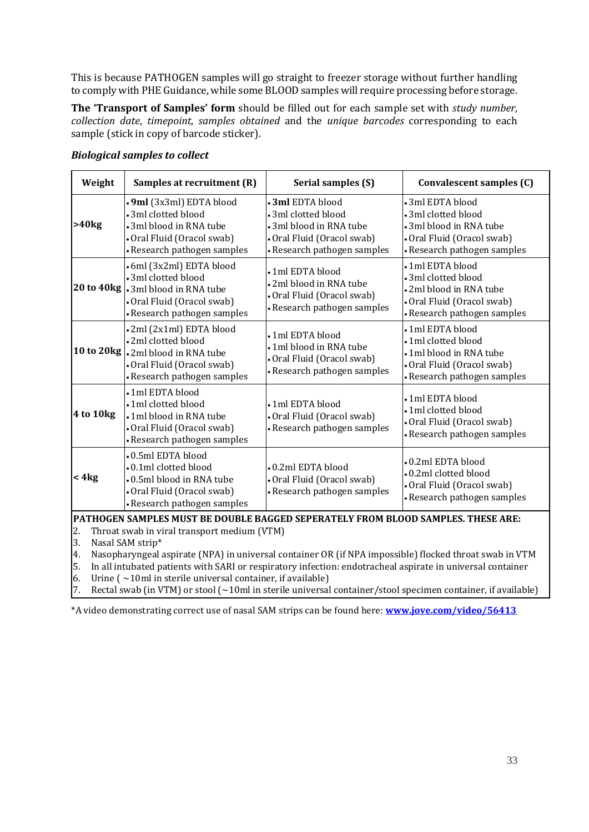This is because PATHOGEN samples will go straight to freezer storage without further handling to comply with PHE Guidance, while some BLOOD samples will require processing before storage.

**The 'Transport of Samples' form** should be filled out for each sample set with *study number*, *collection date*, *timepoint*, *samples obtained* and the *unique barcodes* corresponding to each sample (stick in copy of barcode sticker).

| Weight    | Samples at recruitment (R)                                                                                                                         | Serial samples (S)                                                                                                                    | Convalescent samples (C)                                                                                                         |  |  |
|-----------|----------------------------------------------------------------------------------------------------------------------------------------------------|---------------------------------------------------------------------------------------------------------------------------------------|----------------------------------------------------------------------------------------------------------------------------------|--|--|
| >40kg     | •9ml (3x3ml) EDTA blood<br>• 3ml clotted blood<br>• 3ml blood in RNA tube<br>• Oral Fluid (Oracol swab)<br>• Research pathogen samples             | $\cdot$ 3ml EDTA blood<br>• 3ml clotted blood<br>• 3ml blood in RNA tube<br>• Oral Fluid (Oracol swab)<br>• Research pathogen samples | • 3ml EDTA blood<br>• 3ml clotted blood<br>• 3ml blood in RNA tube<br>• Oral Fluid (Oracol swab)<br>• Research pathogen samples  |  |  |
|           | • 6ml (3x2ml) EDTA blood<br>• 3ml clotted blood<br>20 to 40kg . 3ml blood in RNA tube<br>• Oral Fluid (Oracol swab)<br>• Research pathogen samples | • 1 ml EDTA blood<br>• 2ml blood in RNA tube<br>• Oral Fluid (Oracol swab)<br>• Research pathogen samples                             | • 1ml EDTA blood<br>• 3ml clotted blood<br>•2ml blood in RNA tube<br>• Oral Fluid (Oracol swab)<br>• Research pathogen samples   |  |  |
|           | •2ml (2x1ml) EDTA blood<br>•2ml clotted blood<br>10 to 20kg  . 2ml blood in RNA tube<br>• Oral Fluid (Oracol swab)<br>• Research pathogen samples  | • 1 ml EDTA blood<br>• 1ml blood in RNA tube<br>• Oral Fluid (Oracol swab)<br>• Research pathogen samples                             | • 1ml EDTA blood<br>• 1 ml clotted blood<br>• 1ml blood in RNA tube<br>• Oral Fluid (Oracol swab)<br>• Research pathogen samples |  |  |
| 4 to 10kg | • 1ml EDTA blood<br>•1ml clotted blood<br>• 1ml blood in RNA tube<br>• Oral Fluid (Oracol swab)<br>• Research pathogen samples                     | • 1 ml EDTA blood<br>• Oral Fluid (Oracol swab)<br>• Research pathogen samples                                                        | • 1 ml EDTA blood<br>• 1ml clotted blood<br>• Oral Fluid (Oracol swab)<br>• Research pathogen samples                            |  |  |
| < 4kg     | •0.5ml EDTA blood<br>•0.1ml clotted blood<br>•0.5ml blood in RNA tube<br>• Oral Fluid (Oracol swab)<br>• Research pathogen samples                 | •0.2ml EDTA blood<br>• Oral Fluid (Oracol swab)<br>• Research pathogen samples                                                        | •0.2ml EDTA blood<br>•0.2ml clotted blood<br>• Oral Fluid (Oracol swab)<br>• Research pathogen samples                           |  |  |

#### *Biological samples to collect*

**PATHOGEN SAMPLES MUST BE DOUBLE BAGGED SEPERATELY FROM BLOOD SAMPLES. THESE ARE:**

2. Throat swab in viral transport medium (VTM)

3. Nasal SAM strip\*

4. Nasopharyngeal aspirate (NPA) in universal container OR (if NPA impossible) flocked throat swab in VTM

5. In all intubated patients with SARI or respiratory infection: endotracheal aspirate in universal container

6. Urine  $\left( \sim 10 \text{ m} \right)$  in sterile universal container, if available)

7. Rectal swab (in VTM) or stool  $\sim 10$ ml in sterile universal container/stool specimen container, if available)

\*A video demonstrating correct use of nasal SAM strips can be found here: **[www.jove.com/video/56413](http://www.jove.com/video/56413)**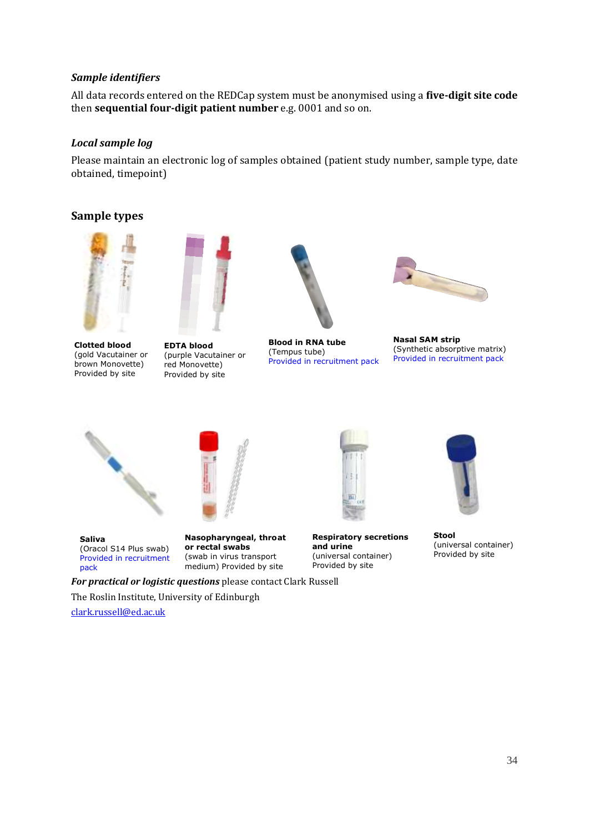#### *Sample identifiers*

All data records entered on the REDCap system must be anonymised using a **five-digit site code** then **sequential four-digit patient number** e.g. 0001 and so on.

#### *Local sample log*

Please maintain an electronic log of samples obtained (patient study number, sample type, date obtained, timepoint)

#### **Sample types**





**Clotted blood** (gold Vacutainer or brown Monovette) Provided by site

**EDTA blood** (purple Vacutainer or red Monovette) Provided by site



**Blood in RNA tube** (Tempus tube) Provided in recruitment pack



**Nasal SAM strip** (Synthetic absorptive matrix) Provided in recruitment pack





**Saliva** (Oracol S14 Plus swab) Provided in recruitment pack

**Nasopharyngeal, throat or rectal swabs** (swab in virus transport medium) Provided by site



**Respiratory secretions and urine** (universal container) Provided by site



**Stool** (universal container) Provided by site

*For practical or logistic questions* please contact Clark Russell

The Roslin Institute, University of Edinburgh

[clark.russell@ed.ac.uk](mailto:clark.russell@ed.ac.uk)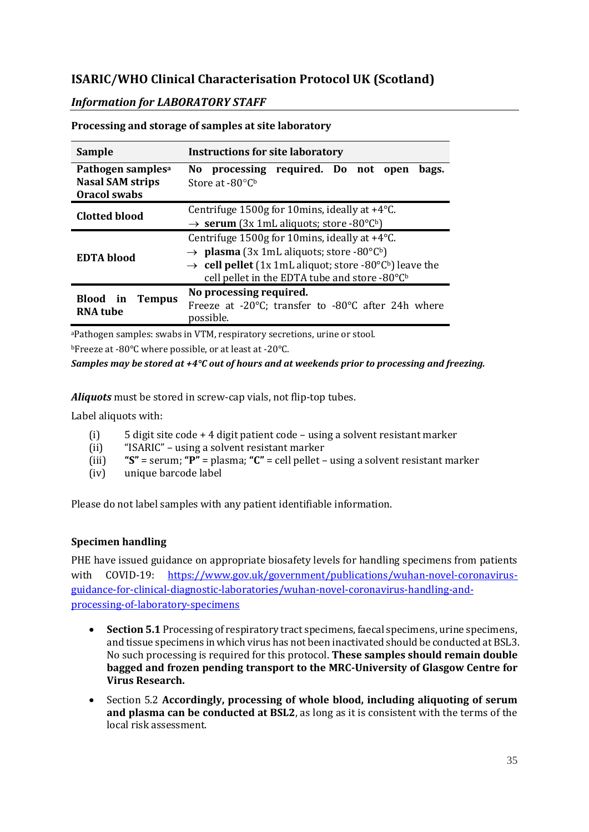# **ISARIC/WHO Clinical Characterisation Protocol UK (Scotland)**

## *Information for LABORATORY STAFF*

| <b>Sample</b>                                                                   | <b>Instructions for site laboratory</b>                                                                                                                                                                                                                      |  |  |  |  |  |  |  |  |  |  |  |
|---------------------------------------------------------------------------------|--------------------------------------------------------------------------------------------------------------------------------------------------------------------------------------------------------------------------------------------------------------|--|--|--|--|--|--|--|--|--|--|--|
| Pathogen samples <sup>a</sup><br><b>Nasal SAM strips</b><br><b>Oracol swabs</b> | processing required. Do not open<br>bags.<br>No l<br>Store at -80°Cb                                                                                                                                                                                         |  |  |  |  |  |  |  |  |  |  |  |
| <b>Clotted blood</b>                                                            | Centrifuge 1500g for 10mins, ideally at +4°C.<br>$\rightarrow$ serum (3x 1mL aliquots; store -80°Cb)                                                                                                                                                         |  |  |  |  |  |  |  |  |  |  |  |
| <b>EDTA</b> blood                                                               | Centrifuge 1500g for 10mins, ideally at +4°C.<br>$\rightarrow$ <b>plasma</b> (3x 1mL aliquots; store -80°C <sup>b</sup> )<br>$\rightarrow$ cell pellet (1x 1mL aliquot; store -80°Cb) leave the<br>cell pellet in the EDTA tube and store -80°C <sup>b</sup> |  |  |  |  |  |  |  |  |  |  |  |
| Blood in<br><b>Tempus</b><br><b>RNA</b> tube                                    | No processing required.<br>Freeze at -20°C; transfer to -80°C after 24h where<br>possible.                                                                                                                                                                   |  |  |  |  |  |  |  |  |  |  |  |

**Processing and storage of samples at site laboratory**

<sup>a</sup>Pathogen samples: swabs in VTM, respiratory secretions, urine or stool. <sup>b</sup>Freeze at -80°C where possible, or at least at -20°C.

*Samples may be stored at +4°C out of hours and at weekends prior to processing and freezing.*

*Aliquots* must be stored in screw-cap vials, not flip-top tubes.

Label aliquots with:

- (i) 5 digit site code + 4 digit patient code using a solvent resistant marker
- (ii) "ISARIC" using a solvent resistant marker
- (iii) **"S"** = serum; **"P"** = plasma; **"C"** = cell pellet using a solvent resistant marker
- (iv) unique barcode label

Please do not label samples with any patient identifiable information.

#### **Specimen handling**

PHE have issued guidance on appropriate biosafety levels for handling specimens from patients with COVID-19: [https://www.gov.uk/government/publications/wuhan-novel-coronavirus](https://www.gov.uk/government/publications/wuhan-novel-coronavirus-guidance-for-clinical-diagnostic-laboratories/wuhan-novel-coronavirus-handling-and-processing-of-laboratory-specimens)[guidance-for-clinical-diagnostic-laboratories/wuhan-novel-coronavirus-handling-and](https://www.gov.uk/government/publications/wuhan-novel-coronavirus-guidance-for-clinical-diagnostic-laboratories/wuhan-novel-coronavirus-handling-and-processing-of-laboratory-specimens)[processing-of-laboratory-specimens](https://www.gov.uk/government/publications/wuhan-novel-coronavirus-guidance-for-clinical-diagnostic-laboratories/wuhan-novel-coronavirus-handling-and-processing-of-laboratory-specimens)

- **Section 5.1** Processing of respiratory tract specimens, faecal specimens, urine specimens, and tissue specimens in which virus has not been inactivated should be conducted at BSL3. No such processing is required for this protocol. **These samples should remain double bagged and frozen pending transport to the MRC-University of Glasgow Centre for Virus Research.**
- Section 5.2 **Accordingly, processing of whole blood, including aliquoting of serum and plasma can be conducted at BSL2**, as long as it is consistent with the terms of the local risk assessment.